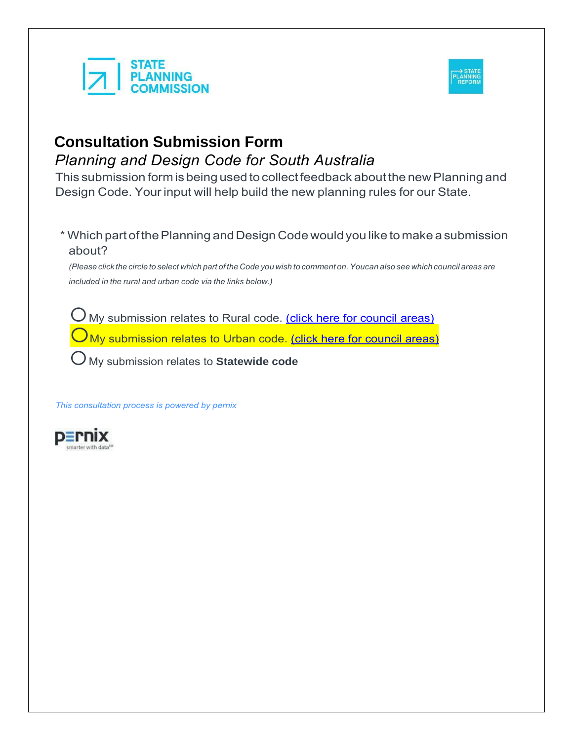



This submission form is being used to collect feedback about the new Planning and Design Code. Your input will help build the new planning rules for our State.

\* Which part of thePlanning and Design Code wouldyou like to make a submission about?

(Please click the circle to select which part of the Code you wish to comment on. Youcan also see which council areas are *included in the rural and urban code via the links below.)*

My submission relates to Rural code. [\(click here for council](https://www.saplanningportal.sa.gov.au/__data/assets/pdf_file/0005/581324/Planning_and_Design_Code_Local_Government_Area_Phase_Allocation.pdf) areas)

My submission relates to Urban code. [\(click here for council areas\)](https://www.saplanningportal.sa.gov.au/__data/assets/pdf_file/0005/581324/Planning_and_Design_Code_Local_Government_Area_Phase_Allocation.pdf)

My submission relates to **Statewide code**

*This consultation process is powered by pernix*

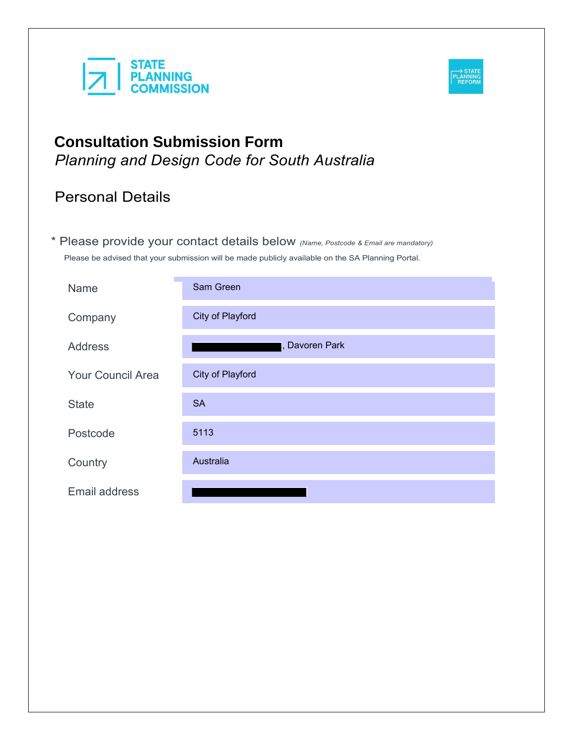



# Personal Details

\* Please provide your contact details below *(Name, Postcode & Email are mandatory)* Please be advised that your submission will be made publicly available on the SA Planning Portal.

| Name                     | Sam Green        |
|--------------------------|------------------|
| Company                  | City of Playford |
| <b>Address</b>           | , Davoren Park   |
| <b>Your Council Area</b> | City of Playford |
| <b>State</b>             | <b>SA</b>        |
| Postcode                 | 5113             |
| Country                  | Australia        |
| <b>Email address</b>     |                  |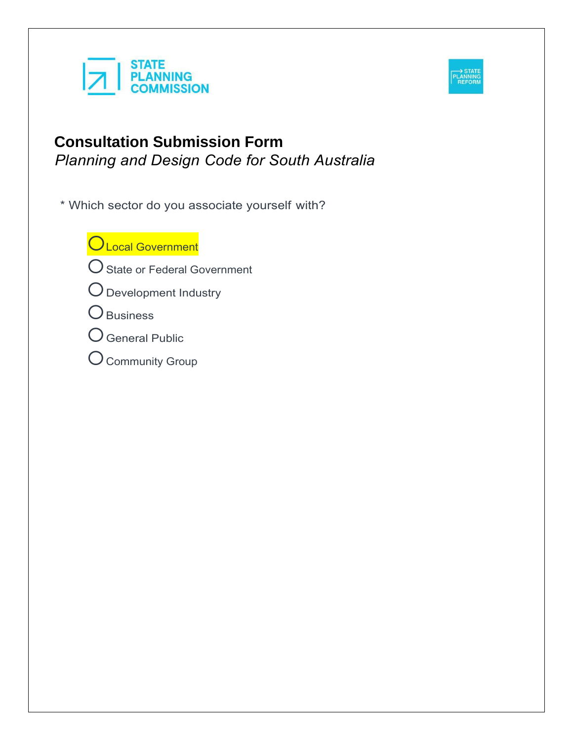



\* Which sector do you associate yourself with?

**OLocal Government** 

- O State or Federal Government
- Development Industry
- O Business
- General Public
- $\bigcirc$  Community Group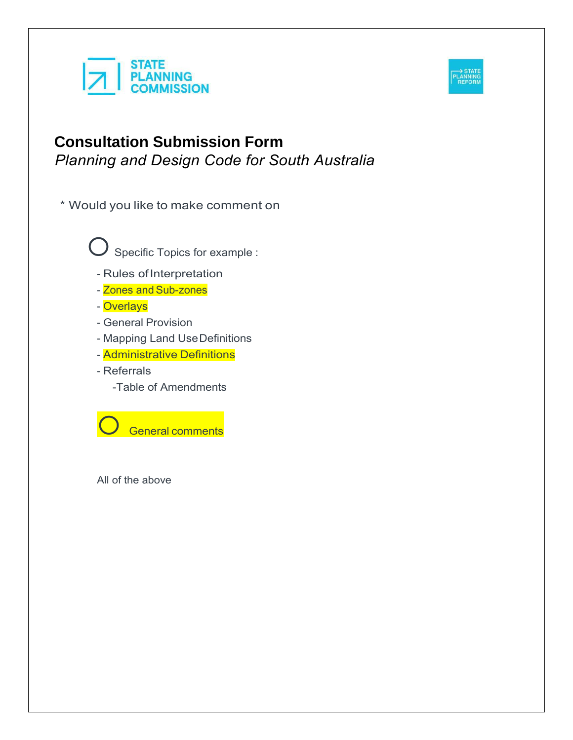



\* Would you like to make comment on

Specific Topics for example :

- Rules ofInterpretation
- Zones and Sub-zones

- Overlays

- General Provision
- Mapping Land UseDefinitions
- Administrative Definitions
- Referrals
	- -Table of Amendments

General comments

All of the above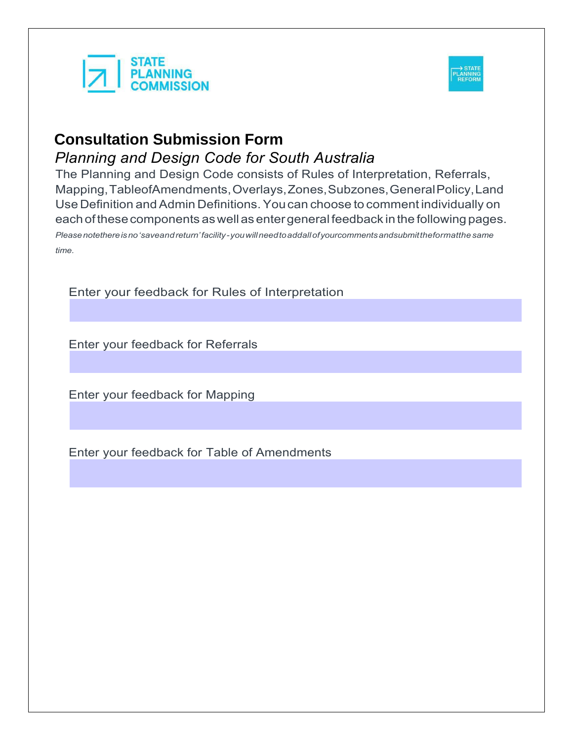



The Planning and Design Code consists of Rules of Interpretation, Referrals, Mapping,TableofAmendments,Overlays,Zones,Subzones,GeneralPolicy,Land Use Definition and Admin Definitions. You can choose to comment individually on eachofthesecomponents aswellasentergeneral feedback inthe following pages.

*Pleasenotethereisno'saveandreturn'facility-youwillneedtoaddallofyourcommentsandsubmittheformatthe same time.*

Enter your feedback for Rules of Interpretation

Enter your feedback for Referrals

Enter your feedback for Mapping

Enter your feedback for Table of Amendments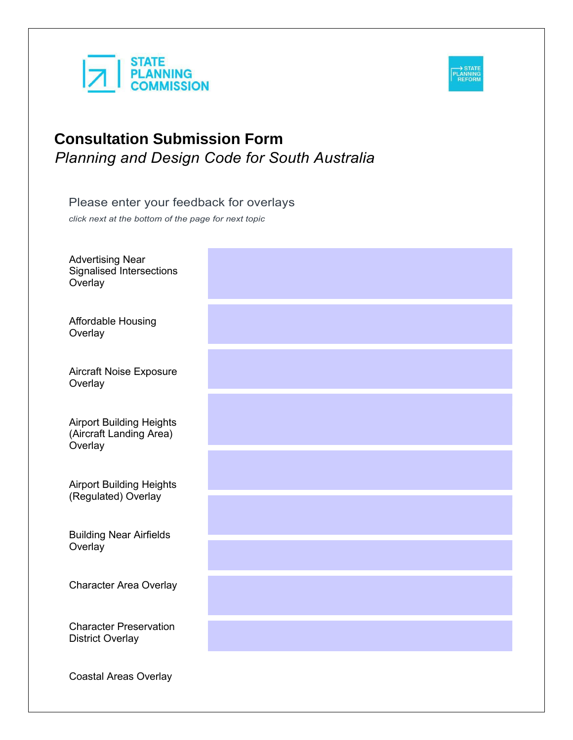



# Please enter your feedback for overlays

*click next at the bottom of the page for next topic*

| <b>Advertising Near</b><br><b>Signalised Intersections</b><br>Overlay |  |
|-----------------------------------------------------------------------|--|
| <b>Affordable Housing</b><br>Overlay                                  |  |
| Aircraft Noise Exposure<br>Overlay                                    |  |
| <b>Airport Building Heights</b><br>(Aircraft Landing Area)<br>Overlay |  |
| <b>Airport Building Heights</b><br>(Regulated) Overlay                |  |
| <b>Building Near Airfields</b><br>Overlay                             |  |
| <b>Character Area Overlay</b>                                         |  |
| <b>Character Preservation</b><br><b>District Overlay</b>              |  |
| <b>Coastal Areas Overlay</b>                                          |  |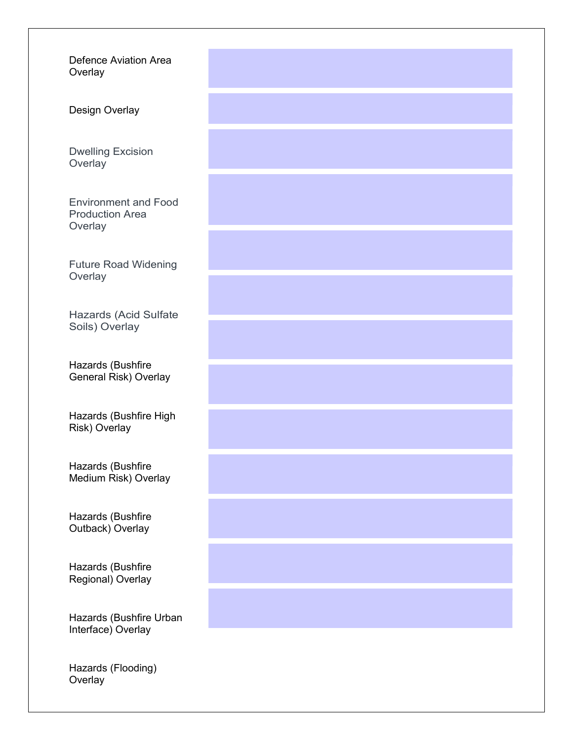Defence Aviation Area **Overlay** 

Design Overlay

Dwelling Excision **Overlay** 

Environment and Food Production Area **Overlay** 

Future Road Widening **Overlay** 

Hazards (Acid Sulfate Soils) Overlay

Hazards (Bushfire General Risk) Overlay

Hazards (Bushfire High Risk) Overlay

Hazards (Bushfire Medium Risk) Overlay

Hazards (Bushfire Outback) Overlay

Hazards (Bushfire Regional) Overlay

Hazards (Bushfire Urban Interface) Overlay

Hazards (Flooding) **Overlay**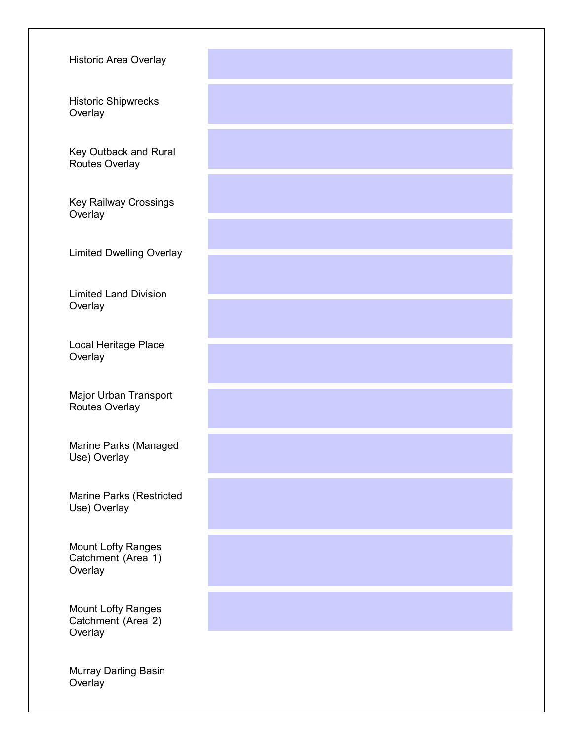| <b>Historic Area Overlay</b>                               |  |
|------------------------------------------------------------|--|
| <b>Historic Shipwrecks</b><br>Overlay                      |  |
| Key Outback and Rural<br>Routes Overlay                    |  |
| Key Railway Crossings<br>Overlay                           |  |
| <b>Limited Dwelling Overlay</b>                            |  |
| <b>Limited Land Division</b><br>Overlay                    |  |
| Local Heritage Place<br>Overlay                            |  |
| Major Urban Transport<br>Routes Overlay                    |  |
| Marine Parks (Managed<br>Use) Overlay                      |  |
| Marine Parks (Restricted<br>Use) Overlay                   |  |
| <b>Mount Lofty Ranges</b><br>Catchment (Area 1)<br>Overlay |  |
| <b>Mount Lofty Ranges</b><br>Catchment (Area 2)<br>Overlay |  |
| Murray Darling Basin<br>Overlay                            |  |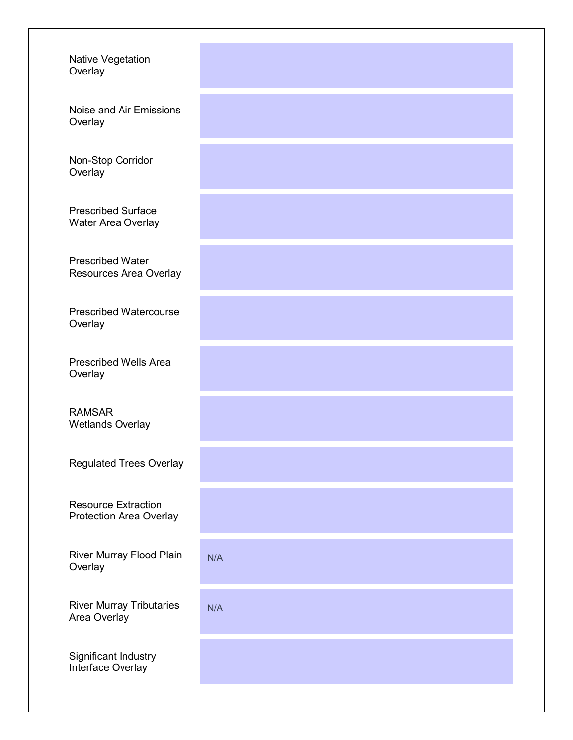| <b>Native Vegetation</b><br>Overlay                          |     |
|--------------------------------------------------------------|-----|
| Noise and Air Emissions<br>Overlay                           |     |
| Non-Stop Corridor<br>Overlay                                 |     |
| <b>Prescribed Surface</b><br>Water Area Overlay              |     |
| <b>Prescribed Water</b><br>Resources Area Overlay            |     |
| <b>Prescribed Watercourse</b><br>Overlay                     |     |
| <b>Prescribed Wells Area</b><br>Overlay                      |     |
| <b>RAMSAR</b><br><b>Wetlands Overlay</b>                     |     |
| <b>Regulated Trees Overlay</b>                               |     |
| <b>Resource Extraction</b><br><b>Protection Area Overlay</b> |     |
| River Murray Flood Plain<br>Overlay                          | N/A |
| <b>River Murray Tributaries</b><br>Area Overlay              | N/A |
| Significant Industry<br>Interface Overlay                    |     |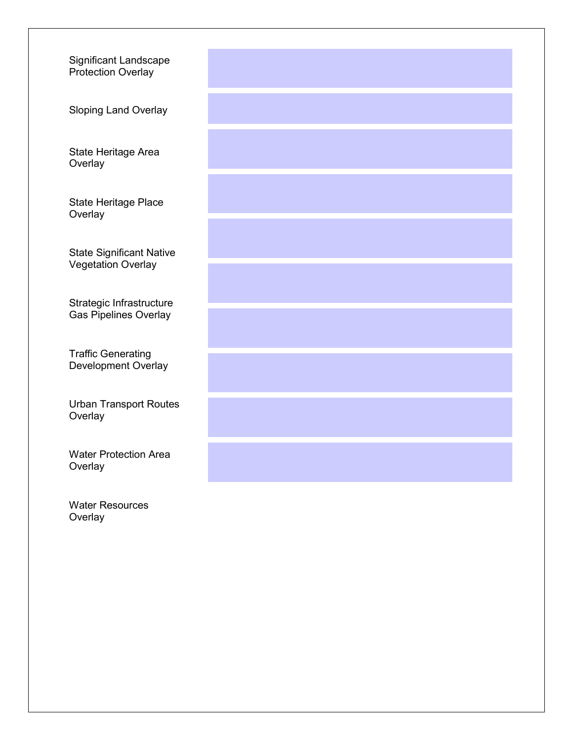Significant Landscape Protection Overlay

Sloping Land Overlay

State Heritage Area **Overlay** 

State Heritage Place **Overlay** 

State Significant Native Vegetation Overlay

Strategic Infrastructure Gas Pipelines Overlay

Traffic Generating Development Overlay

Urban Transport Routes **Overlay** 

Water Protection Area **Overlay** 

Water Resources **Overlay**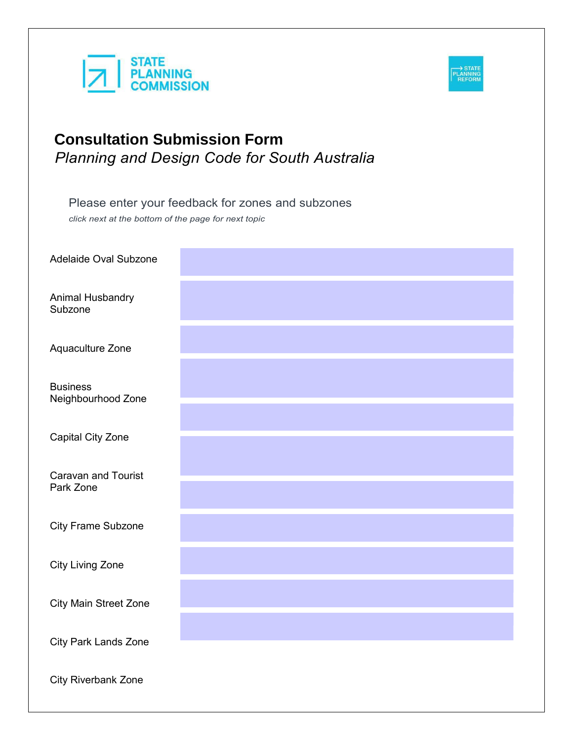



Please enter your feedback for zones and subzones

*click next at the bottom of the page for next topic*

Adelaide Oval Subzone

Animal Husbandry Subzone

Aquaculture Zone

**Business** Neighbourhood Zone

Capital City Zone

Caravan and Tourist Park Zone

City Frame Subzone

City Living Zone

City Main Street Zone

City Park Lands Zone

City Riverbank Zone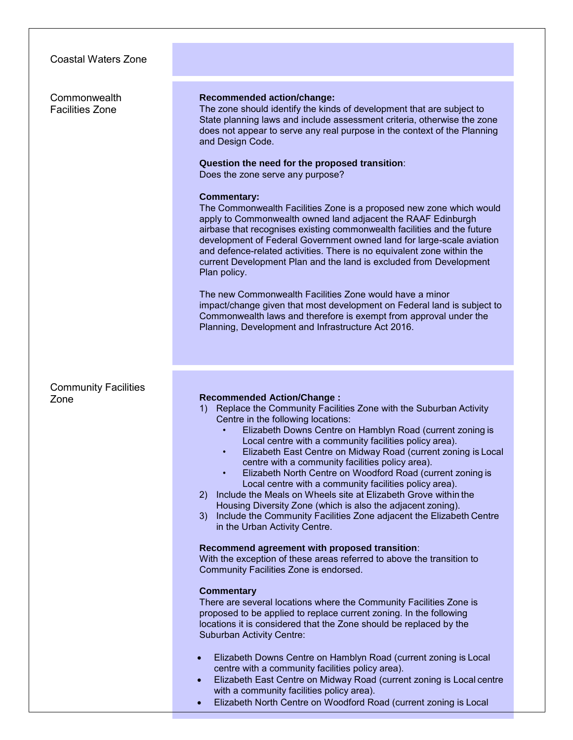Coastal Waters Zone **Commonwealth** Facilities Zone **Recommended action/change:** The zone should identify the kinds of development that are subject to State planning laws and include assessment criteria, otherwise the zone does not appear to serve any real purpose in the context of the Planning and Design Code. **Question the need for the proposed transition**: Does the zone serve any purpose? **Commentary:** The Commonwealth Facilities Zone is a proposed new zone which would apply to Commonwealth owned land adjacent the RAAF Edinburgh airbase that recognises existing commonwealth facilities and the future development of Federal Government owned land for large-scale aviation and defence-related activities. There is no equivalent zone within the current Development Plan and the land is excluded from Development Plan policy. The new Commonwealth Facilities Zone would have a minor impact/change given that most development on Federal land is subject to Commonwealth laws and therefore is exempt from approval under the Planning, Development and Infrastructure Act 2016. Community Facilities **Recommended Action/Change:** 1) Replace the Community Facilities Zone with the Suburban Activity Centre in the following locations: • Elizabeth Downs Centre on Hamblyn Road (current zoning is Local centre with a community facilities policy area). • Elizabeth East Centre on Midway Road (current zoning is Local centre with a community facilities policy area). • Elizabeth North Centre on Woodford Road (current zoning is Local centre with a community facilities policy area). 2) Include the Meals on Wheels site at Elizabeth Grove within the Housing Diversity Zone (which is also the adjacent zoning). 3) Include the Community Facilities Zone adjacent the Elizabeth Centre in the Urban Activity Centre. **Recommend agreement with proposed transition**: With the exception of these areas referred to above the transition to Community Facilities Zone is endorsed. **Commentary** There are several locations where the Community Facilities Zone is proposed to be applied to replace current zoning. In the following locations it is considered that the Zone should be replaced by the Suburban Activity Centre: Elizabeth Downs Centre on Hamblyn Road (current zoning is Local centre with a community facilities policy area). Elizabeth East Centre on Midway Road (current zoning is Local centre with a community facilities policy area). Elizabeth North Centre on Woodford Road (current zoning is Local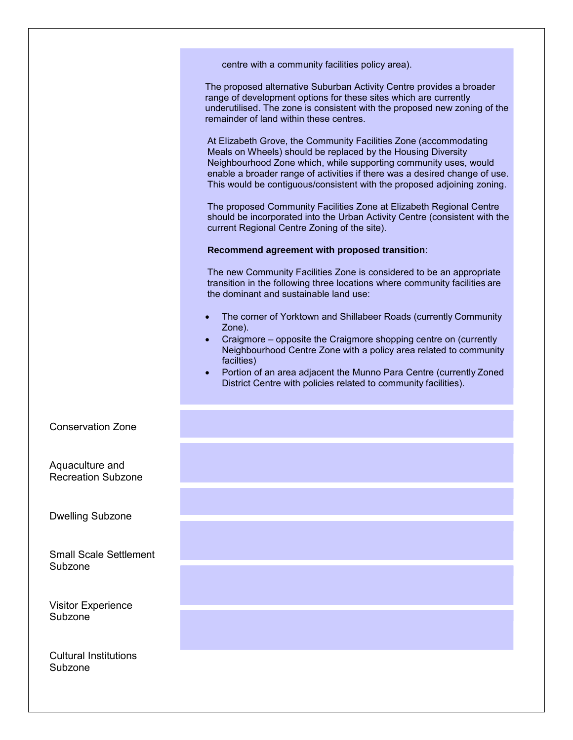|                                              | centre with a community facilities policy area).                                                                                                                                                                                                                                                                                                                           |
|----------------------------------------------|----------------------------------------------------------------------------------------------------------------------------------------------------------------------------------------------------------------------------------------------------------------------------------------------------------------------------------------------------------------------------|
|                                              | The proposed alternative Suburban Activity Centre provides a broader<br>range of development options for these sites which are currently<br>underutilised. The zone is consistent with the proposed new zoning of the<br>remainder of land within these centres.                                                                                                           |
|                                              | At Elizabeth Grove, the Community Facilities Zone (accommodating<br>Meals on Wheels) should be replaced by the Housing Diversity<br>Neighbourhood Zone which, while supporting community uses, would<br>enable a broader range of activities if there was a desired change of use.<br>This would be contiguous/consistent with the proposed adjoining zoning.              |
|                                              | The proposed Community Facilities Zone at Elizabeth Regional Centre<br>should be incorporated into the Urban Activity Centre (consistent with the<br>current Regional Centre Zoning of the site).                                                                                                                                                                          |
|                                              | Recommend agreement with proposed transition:                                                                                                                                                                                                                                                                                                                              |
|                                              | The new Community Facilities Zone is considered to be an appropriate<br>transition in the following three locations where community facilities are<br>the dominant and sustainable land use:                                                                                                                                                                               |
|                                              | The corner of Yorktown and Shillabeer Roads (currently Community<br>Zone).<br>Craigmore – opposite the Craigmore shopping centre on (currently<br>Neighbourhood Centre Zone with a policy area related to community<br>facilties)<br>Portion of an area adjacent the Munno Para Centre (currently Zoned<br>District Centre with policies related to community facilities). |
| <b>Conservation Zone</b>                     |                                                                                                                                                                                                                                                                                                                                                                            |
| Aquaculture and<br><b>Recreation Subzone</b> |                                                                                                                                                                                                                                                                                                                                                                            |
|                                              |                                                                                                                                                                                                                                                                                                                                                                            |
| <b>Dwelling Subzone</b>                      |                                                                                                                                                                                                                                                                                                                                                                            |
| <b>Small Scale Settlement</b>                |                                                                                                                                                                                                                                                                                                                                                                            |
| Subzone                                      |                                                                                                                                                                                                                                                                                                                                                                            |
| <b>Visitor Experience</b>                    |                                                                                                                                                                                                                                                                                                                                                                            |
| Subzone                                      |                                                                                                                                                                                                                                                                                                                                                                            |
| <b>Cultural Institutions</b><br>Subzone      |                                                                                                                                                                                                                                                                                                                                                                            |
|                                              |                                                                                                                                                                                                                                                                                                                                                                            |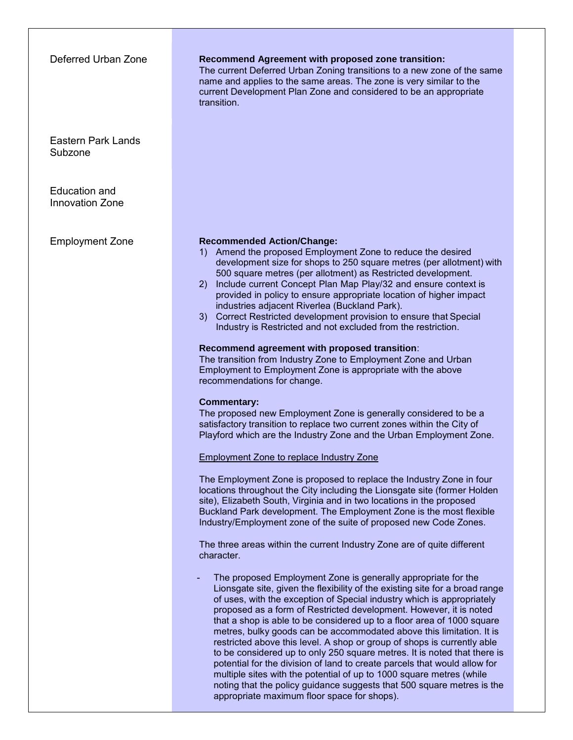| Deferred Urban Zone                            | <b>Recommend Agreement with proposed zone transition:</b><br>The current Deferred Urban Zoning transitions to a new zone of the same<br>name and applies to the same areas. The zone is very similar to the<br>current Development Plan Zone and considered to be an appropriate<br>transition.                                                                                                                                                                                                                                                                                                                                                                                                                                                                                                                                                                                                                                                                                                                                                                                                                                                                                                                                                                                                                                                                                                                                                                                                                                                                                                                                                                                                                                                                                                                                                                                                                                                                                                                                                                                                                                                                                                                                                                                                                                                                                                                                                            |
|------------------------------------------------|------------------------------------------------------------------------------------------------------------------------------------------------------------------------------------------------------------------------------------------------------------------------------------------------------------------------------------------------------------------------------------------------------------------------------------------------------------------------------------------------------------------------------------------------------------------------------------------------------------------------------------------------------------------------------------------------------------------------------------------------------------------------------------------------------------------------------------------------------------------------------------------------------------------------------------------------------------------------------------------------------------------------------------------------------------------------------------------------------------------------------------------------------------------------------------------------------------------------------------------------------------------------------------------------------------------------------------------------------------------------------------------------------------------------------------------------------------------------------------------------------------------------------------------------------------------------------------------------------------------------------------------------------------------------------------------------------------------------------------------------------------------------------------------------------------------------------------------------------------------------------------------------------------------------------------------------------------------------------------------------------------------------------------------------------------------------------------------------------------------------------------------------------------------------------------------------------------------------------------------------------------------------------------------------------------------------------------------------------------------------------------------------------------------------------------------------------------|
| <b>Eastern Park Lands</b><br>Subzone           |                                                                                                                                                                                                                                                                                                                                                                                                                                                                                                                                                                                                                                                                                                                                                                                                                                                                                                                                                                                                                                                                                                                                                                                                                                                                                                                                                                                                                                                                                                                                                                                                                                                                                                                                                                                                                                                                                                                                                                                                                                                                                                                                                                                                                                                                                                                                                                                                                                                            |
| <b>Education and</b><br><b>Innovation Zone</b> |                                                                                                                                                                                                                                                                                                                                                                                                                                                                                                                                                                                                                                                                                                                                                                                                                                                                                                                                                                                                                                                                                                                                                                                                                                                                                                                                                                                                                                                                                                                                                                                                                                                                                                                                                                                                                                                                                                                                                                                                                                                                                                                                                                                                                                                                                                                                                                                                                                                            |
| <b>Employment Zone</b>                         | <b>Recommended Action/Change:</b><br>Amend the proposed Employment Zone to reduce the desired<br>development size for shops to 250 square metres (per allotment) with<br>500 square metres (per allotment) as Restricted development.<br>Include current Concept Plan Map Play/32 and ensure context is<br>(2)<br>provided in policy to ensure appropriate location of higher impact<br>industries adjacent Riverlea (Buckland Park).<br>Correct Restricted development provision to ensure that Special<br>3)<br>Industry is Restricted and not excluded from the restriction.<br>Recommend agreement with proposed transition:<br>The transition from Industry Zone to Employment Zone and Urban<br>Employment to Employment Zone is appropriate with the above<br>recommendations for change.<br><b>Commentary:</b><br>The proposed new Employment Zone is generally considered to be a<br>satisfactory transition to replace two current zones within the City of<br>Playford which are the Industry Zone and the Urban Employment Zone.<br><b>Employment Zone to replace Industry Zone</b><br>The Employment Zone is proposed to replace the Industry Zone in four<br>locations throughout the City including the Lionsgate site (former Holden<br>site), Elizabeth South, Virginia and in two locations in the proposed<br>Buckland Park development. The Employment Zone is the most flexible<br>Industry/Employment zone of the suite of proposed new Code Zones.<br>The three areas within the current Industry Zone are of quite different<br>character.<br>The proposed Employment Zone is generally appropriate for the<br>Lionsgate site, given the flexibility of the existing site for a broad range<br>of uses, with the exception of Special industry which is appropriately<br>proposed as a form of Restricted development. However, it is noted<br>that a shop is able to be considered up to a floor area of 1000 square<br>metres, bulky goods can be accommodated above this limitation. It is<br>restricted above this level. A shop or group of shops is currently able<br>to be considered up to only 250 square metres. It is noted that there is<br>potential for the division of land to create parcels that would allow for<br>multiple sites with the potential of up to 1000 square metres (while<br>noting that the policy guidance suggests that 500 square metres is the<br>appropriate maximum floor space for shops). |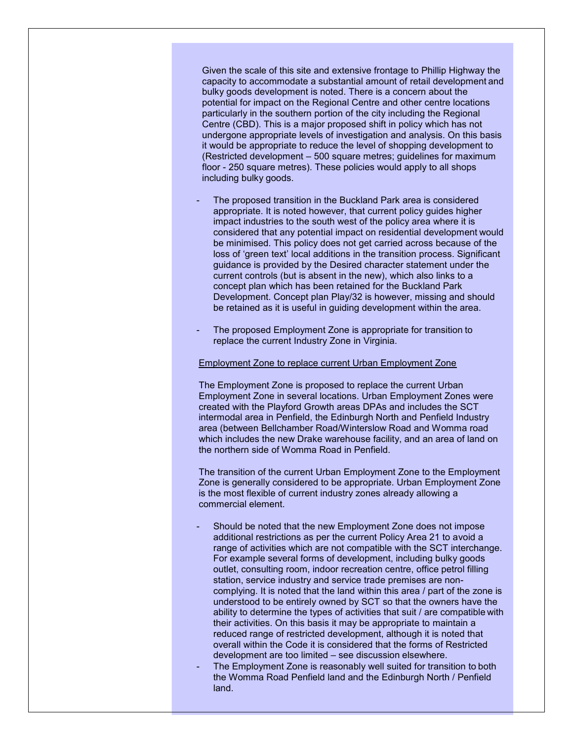Given the scale of this site and extensive frontage to Phillip Highway the capacity to accommodate a substantial amount of retail development and bulky goods development is noted. There is a concern about the potential for impact on the Regional Centre and other centre locations particularly in the southern portion of the city including the Regional Centre (CBD). This is a major proposed shift in policy which has not undergone appropriate levels of investigation and analysis. On this basis it would be appropriate to reduce the level of shopping development to (Restricted development – 500 square metres; guidelines for maximum floor - 250 square metres). These policies would apply to all shops including bulky goods.

- The proposed transition in the Buckland Park area is considered appropriate. It is noted however, that current policy guides higher impact industries to the south west of the policy area where it is considered that any potential impact on residential development would be minimised. This policy does not get carried across because of the loss of 'green text' local additions in the transition process. Significant guidance is provided by the Desired character statement under the current controls (but is absent in the new), which also links to a concept plan which has been retained for the Buckland Park Development. Concept plan Play/32 is however, missing and should be retained as it is useful in guiding development within the area.
- The proposed Employment Zone is appropriate for transition to replace the current Industry Zone in Virginia.

#### Employment Zone to replace current Urban Employment Zone

The Employment Zone is proposed to replace the current Urban Employment Zone in several locations. Urban Employment Zones were created with the Playford Growth areas DPAs and includes the SCT intermodal area in Penfield, the Edinburgh North and Penfield Industry area (between Bellchamber Road/Winterslow Road and Womma road which includes the new Drake warehouse facility, and an area of land on the northern side of Womma Road in Penfield.

The transition of the current Urban Employment Zone to the Employment Zone is generally considered to be appropriate. Urban Employment Zone is the most flexible of current industry zones already allowing a commercial element.

- Should be noted that the new Employment Zone does not impose additional restrictions as per the current Policy Area 21 to avoid a range of activities which are not compatible with the SCT interchange. For example several forms of development, including bulky goods outlet, consulting room, indoor recreation centre, office petrol filling station, service industry and service trade premises are noncomplying. It is noted that the land within this area / part of the zone is understood to be entirely owned by SCT so that the owners have the ability to determine the types of activities that suit / are compatible with their activities. On this basis it may be appropriate to maintain a reduced range of restricted development, although it is noted that overall within the Code it is considered that the forms of Restricted development are too limited – see discussion elsewhere.
- The Employment Zone is reasonably well suited for transition to both the Womma Road Penfield land and the Edinburgh North / Penfield land.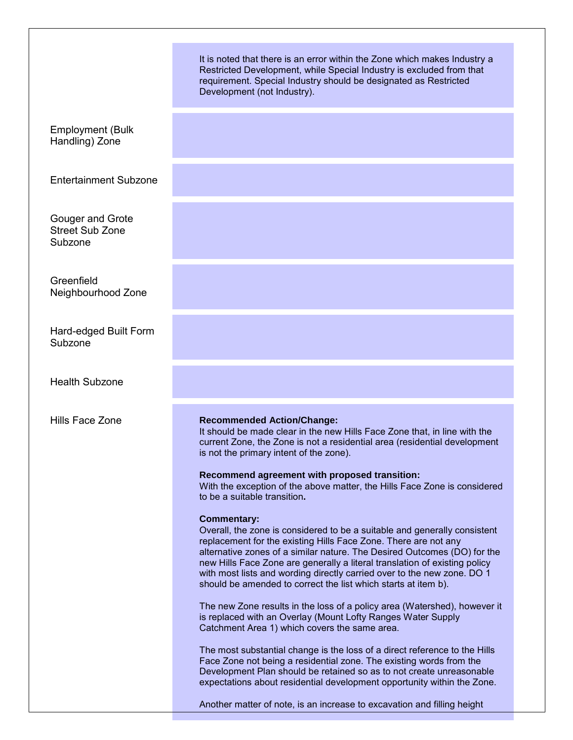|                                                       | It is noted that there is an error within the Zone which makes Industry a<br>Restricted Development, while Special Industry is excluded from that<br>requirement. Special Industry should be designated as Restricted<br>Development (not Industry).                                                                                                                                                                                                                                                                                                                                                                                                                                                                                                                                                                                                                                                                                                                                                                                                                                                                                                                                                                                                                                                                                                                                                                                                               |
|-------------------------------------------------------|--------------------------------------------------------------------------------------------------------------------------------------------------------------------------------------------------------------------------------------------------------------------------------------------------------------------------------------------------------------------------------------------------------------------------------------------------------------------------------------------------------------------------------------------------------------------------------------------------------------------------------------------------------------------------------------------------------------------------------------------------------------------------------------------------------------------------------------------------------------------------------------------------------------------------------------------------------------------------------------------------------------------------------------------------------------------------------------------------------------------------------------------------------------------------------------------------------------------------------------------------------------------------------------------------------------------------------------------------------------------------------------------------------------------------------------------------------------------|
| <b>Employment (Bulk</b><br>Handling) Zone             |                                                                                                                                                                                                                                                                                                                                                                                                                                                                                                                                                                                                                                                                                                                                                                                                                                                                                                                                                                                                                                                                                                                                                                                                                                                                                                                                                                                                                                                                    |
| <b>Entertainment Subzone</b>                          |                                                                                                                                                                                                                                                                                                                                                                                                                                                                                                                                                                                                                                                                                                                                                                                                                                                                                                                                                                                                                                                                                                                                                                                                                                                                                                                                                                                                                                                                    |
| Gouger and Grote<br><b>Street Sub Zone</b><br>Subzone |                                                                                                                                                                                                                                                                                                                                                                                                                                                                                                                                                                                                                                                                                                                                                                                                                                                                                                                                                                                                                                                                                                                                                                                                                                                                                                                                                                                                                                                                    |
| Greenfield<br>Neighbourhood Zone                      |                                                                                                                                                                                                                                                                                                                                                                                                                                                                                                                                                                                                                                                                                                                                                                                                                                                                                                                                                                                                                                                                                                                                                                                                                                                                                                                                                                                                                                                                    |
| Hard-edged Built Form<br>Subzone                      |                                                                                                                                                                                                                                                                                                                                                                                                                                                                                                                                                                                                                                                                                                                                                                                                                                                                                                                                                                                                                                                                                                                                                                                                                                                                                                                                                                                                                                                                    |
| <b>Health Subzone</b>                                 |                                                                                                                                                                                                                                                                                                                                                                                                                                                                                                                                                                                                                                                                                                                                                                                                                                                                                                                                                                                                                                                                                                                                                                                                                                                                                                                                                                                                                                                                    |
| Hills Face Zone                                       | <b>Recommended Action/Change:</b><br>It should be made clear in the new Hills Face Zone that, in line with the<br>current Zone, the Zone is not a residential area (residential development<br>is not the primary intent of the zone).<br>Recommend agreement with proposed transition:<br>With the exception of the above matter, the Hills Face Zone is considered<br>to be a suitable transition.<br><b>Commentary:</b><br>Overall, the zone is considered to be a suitable and generally consistent<br>replacement for the existing Hills Face Zone. There are not any<br>alternative zones of a similar nature. The Desired Outcomes (DO) for the<br>new Hills Face Zone are generally a literal translation of existing policy<br>with most lists and wording directly carried over to the new zone. DO 1<br>should be amended to correct the list which starts at item b).<br>The new Zone results in the loss of a policy area (Watershed), however it<br>is replaced with an Overlay (Mount Lofty Ranges Water Supply<br>Catchment Area 1) which covers the same area.<br>The most substantial change is the loss of a direct reference to the Hills<br>Face Zone not being a residential zone. The existing words from the<br>Development Plan should be retained so as to not create unreasonable<br>expectations about residential development opportunity within the Zone.<br>Another matter of note, is an increase to excavation and filling height |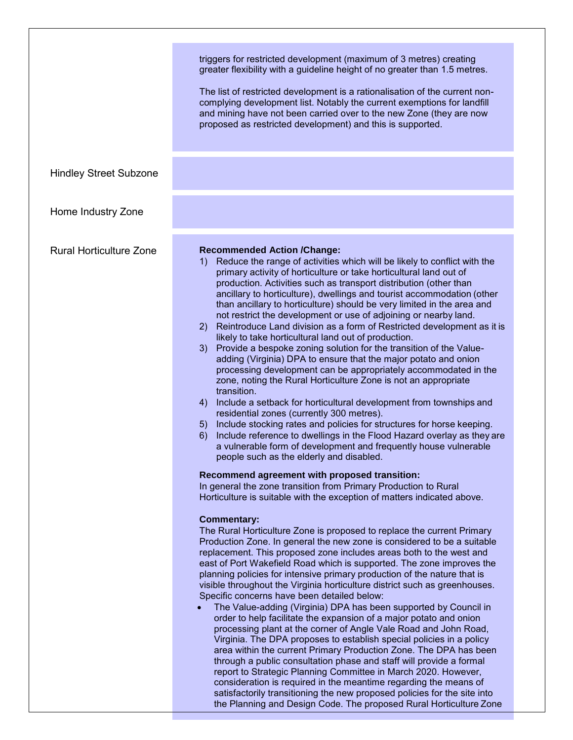| <b>Hindley Street Subzone</b>  | triggers for restricted development (maximum of 3 metres) creating<br>greater flexibility with a guideline height of no greater than 1.5 metres.<br>The list of restricted development is a rationalisation of the current non-<br>complying development list. Notably the current exemptions for landfill<br>and mining have not been carried over to the new Zone (they are now<br>proposed as restricted development) and this is supported.                                                                                                                                                                                                                                                                                                                                                                                                                                                                                                                                                                                                                                                                                                                                                                                                                                                                                                                                                                                                                                                                                                                                                                                                                                                                                                                                                                                                                                                                                                                                                                                                                                                                                                                                                                                                                                                                                                                                                                                                                                                                                                                                                                                                                                                                                                                                                         |
|--------------------------------|---------------------------------------------------------------------------------------------------------------------------------------------------------------------------------------------------------------------------------------------------------------------------------------------------------------------------------------------------------------------------------------------------------------------------------------------------------------------------------------------------------------------------------------------------------------------------------------------------------------------------------------------------------------------------------------------------------------------------------------------------------------------------------------------------------------------------------------------------------------------------------------------------------------------------------------------------------------------------------------------------------------------------------------------------------------------------------------------------------------------------------------------------------------------------------------------------------------------------------------------------------------------------------------------------------------------------------------------------------------------------------------------------------------------------------------------------------------------------------------------------------------------------------------------------------------------------------------------------------------------------------------------------------------------------------------------------------------------------------------------------------------------------------------------------------------------------------------------------------------------------------------------------------------------------------------------------------------------------------------------------------------------------------------------------------------------------------------------------------------------------------------------------------------------------------------------------------------------------------------------------------------------------------------------------------------------------------------------------------------------------------------------------------------------------------------------------------------------------------------------------------------------------------------------------------------------------------------------------------------------------------------------------------------------------------------------------------------------------------------------------------------------------------------------------------|
| Home Industry Zone             |                                                                                                                                                                                                                                                                                                                                                                                                                                                                                                                                                                                                                                                                                                                                                                                                                                                                                                                                                                                                                                                                                                                                                                                                                                                                                                                                                                                                                                                                                                                                                                                                                                                                                                                                                                                                                                                                                                                                                                                                                                                                                                                                                                                                                                                                                                                                                                                                                                                                                                                                                                                                                                                                                                                                                                                                         |
| <b>Rural Horticulture Zone</b> | <b>Recommended Action /Change:</b><br>Reduce the range of activities which will be likely to conflict with the<br>1)<br>primary activity of horticulture or take horticultural land out of<br>production. Activities such as transport distribution (other than<br>ancillary to horticulture), dwellings and tourist accommodation (other<br>than ancillary to horticulture) should be very limited in the area and<br>not restrict the development or use of adjoining or nearby land.<br>Reintroduce Land division as a form of Restricted development as it is<br>2)<br>likely to take horticultural land out of production.<br>Provide a bespoke zoning solution for the transition of the Value-<br>3)<br>adding (Virginia) DPA to ensure that the major potato and onion<br>processing development can be appropriately accommodated in the<br>zone, noting the Rural Horticulture Zone is not an appropriate<br>transition.<br>Include a setback for horticultural development from townships and<br>4)<br>residential zones (currently 300 metres).<br>Include stocking rates and policies for structures for horse keeping.<br>5)<br>Include reference to dwellings in the Flood Hazard overlay as they are<br>6)<br>a vulnerable form of development and frequently house vulnerable<br>people such as the elderly and disabled.<br>Recommend agreement with proposed transition:<br>In general the zone transition from Primary Production to Rural<br>Horticulture is suitable with the exception of matters indicated above.<br><b>Commentary:</b><br>The Rural Horticulture Zone is proposed to replace the current Primary<br>Production Zone. In general the new zone is considered to be a suitable<br>replacement. This proposed zone includes areas both to the west and<br>east of Port Wakefield Road which is supported. The zone improves the<br>planning policies for intensive primary production of the nature that is<br>visible throughout the Virginia horticulture district such as greenhouses.<br>Specific concerns have been detailed below:<br>The Value-adding (Virginia) DPA has been supported by Council in<br>order to help facilitate the expansion of a major potato and onion<br>processing plant at the corner of Angle Vale Road and John Road,<br>Virginia. The DPA proposes to establish special policies in a policy<br>area within the current Primary Production Zone. The DPA has been<br>through a public consultation phase and staff will provide a formal<br>report to Strategic Planning Committee in March 2020. However,<br>consideration is required in the meantime regarding the means of<br>satisfactorily transitioning the new proposed policies for the site into<br>the Planning and Design Code. The proposed Rural Horticulture Zone |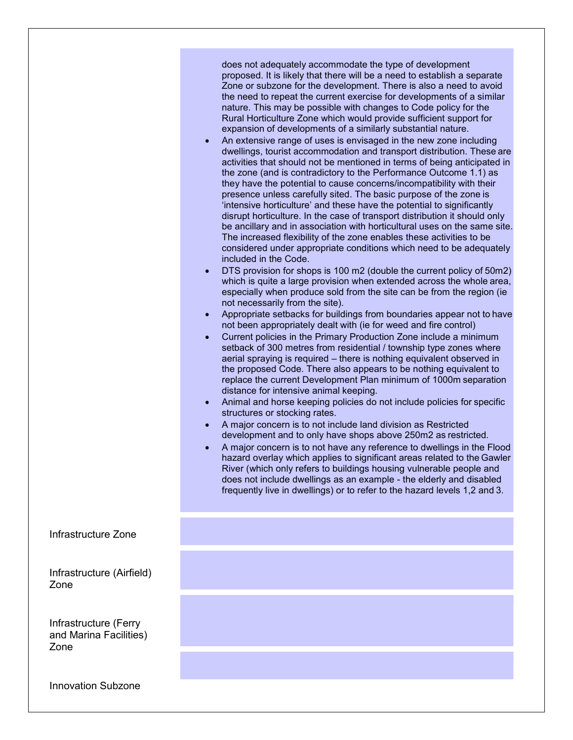|                                                         | does not adequately accommodate the type of development<br>proposed. It is likely that there will be a need to establish a separate<br>Zone or subzone for the development. There is also a need to avoid<br>the need to repeat the current exercise for developments of a similar<br>nature. This may be possible with changes to Code policy for the<br>Rural Horticulture Zone which would provide sufficient support for<br>expansion of developments of a similarly substantial nature.<br>An extensive range of uses is envisaged in the new zone including<br>$\bullet$<br>dwellings, tourist accommodation and transport distribution. These are<br>activities that should not be mentioned in terms of being anticipated in<br>the zone (and is contradictory to the Performance Outcome 1.1) as<br>they have the potential to cause concerns/incompatibility with their<br>presence unless carefully sited. The basic purpose of the zone is<br>'intensive horticulture' and these have the potential to significantly<br>disrupt horticulture. In the case of transport distribution it should only<br>be ancillary and in association with horticultural uses on the same site.<br>The increased flexibility of the zone enables these activities to be<br>considered under appropriate conditions which need to be adequately<br>included in the Code.<br>DTS provision for shops is 100 m2 (double the current policy of 50m2)<br>$\bullet$<br>which is quite a large provision when extended across the whole area,<br>especially when produce sold from the site can be from the region (ie<br>not necessarily from the site).<br>Appropriate setbacks for buildings from boundaries appear not to have<br>$\bullet$<br>not been appropriately dealt with (ie for weed and fire control)<br>Current policies in the Primary Production Zone include a minimum<br>$\bullet$<br>setback of 300 metres from residential / township type zones where<br>aerial spraying is required - there is nothing equivalent observed in<br>the proposed Code. There also appears to be nothing equivalent to<br>replace the current Development Plan minimum of 1000m separation<br>distance for intensive animal keeping.<br>Animal and horse keeping policies do not include policies for specific<br>$\bullet$<br>structures or stocking rates.<br>A major concern is to not include land division as Restricted<br>$\bullet$<br>development and to only have shops above 250m2 as restricted.<br>A major concern is to not have any reference to dwellings in the Flood<br>hazard overlay which applies to significant areas related to the Gawler<br>River (which only refers to buildings housing vulnerable people and<br>does not include dwellings as an example - the elderly and disabled<br>frequently live in dwellings) or to refer to the hazard levels 1,2 and 3. |
|---------------------------------------------------------|-------------------------------------------------------------------------------------------------------------------------------------------------------------------------------------------------------------------------------------------------------------------------------------------------------------------------------------------------------------------------------------------------------------------------------------------------------------------------------------------------------------------------------------------------------------------------------------------------------------------------------------------------------------------------------------------------------------------------------------------------------------------------------------------------------------------------------------------------------------------------------------------------------------------------------------------------------------------------------------------------------------------------------------------------------------------------------------------------------------------------------------------------------------------------------------------------------------------------------------------------------------------------------------------------------------------------------------------------------------------------------------------------------------------------------------------------------------------------------------------------------------------------------------------------------------------------------------------------------------------------------------------------------------------------------------------------------------------------------------------------------------------------------------------------------------------------------------------------------------------------------------------------------------------------------------------------------------------------------------------------------------------------------------------------------------------------------------------------------------------------------------------------------------------------------------------------------------------------------------------------------------------------------------------------------------------------------------------------------------------------------------------------------------------------------------------------------------------------------------------------------------------------------------------------------------------------------------------------------------------------------------------------------------------------------------------------------------------------------------------------------------------------------------------------------------------------------------------------------------------------------------|
| Infrastructure Zone                                     |                                                                                                                                                                                                                                                                                                                                                                                                                                                                                                                                                                                                                                                                                                                                                                                                                                                                                                                                                                                                                                                                                                                                                                                                                                                                                                                                                                                                                                                                                                                                                                                                                                                                                                                                                                                                                                                                                                                                                                                                                                                                                                                                                                                                                                                                                                                                                                                                                                                                                                                                                                                                                                                                                                                                                                                                                                                                                     |
| Infrastructure (Airfield)<br>Zone                       |                                                                                                                                                                                                                                                                                                                                                                                                                                                                                                                                                                                                                                                                                                                                                                                                                                                                                                                                                                                                                                                                                                                                                                                                                                                                                                                                                                                                                                                                                                                                                                                                                                                                                                                                                                                                                                                                                                                                                                                                                                                                                                                                                                                                                                                                                                                                                                                                                                                                                                                                                                                                                                                                                                                                                                                                                                                                                     |
| Infrastructure (Ferry<br>and Marina Facilities)<br>Zone |                                                                                                                                                                                                                                                                                                                                                                                                                                                                                                                                                                                                                                                                                                                                                                                                                                                                                                                                                                                                                                                                                                                                                                                                                                                                                                                                                                                                                                                                                                                                                                                                                                                                                                                                                                                                                                                                                                                                                                                                                                                                                                                                                                                                                                                                                                                                                                                                                                                                                                                                                                                                                                                                                                                                                                                                                                                                                     |
| <b>Innovation Subzone</b>                               |                                                                                                                                                                                                                                                                                                                                                                                                                                                                                                                                                                                                                                                                                                                                                                                                                                                                                                                                                                                                                                                                                                                                                                                                                                                                                                                                                                                                                                                                                                                                                                                                                                                                                                                                                                                                                                                                                                                                                                                                                                                                                                                                                                                                                                                                                                                                                                                                                                                                                                                                                                                                                                                                                                                                                                                                                                                                                     |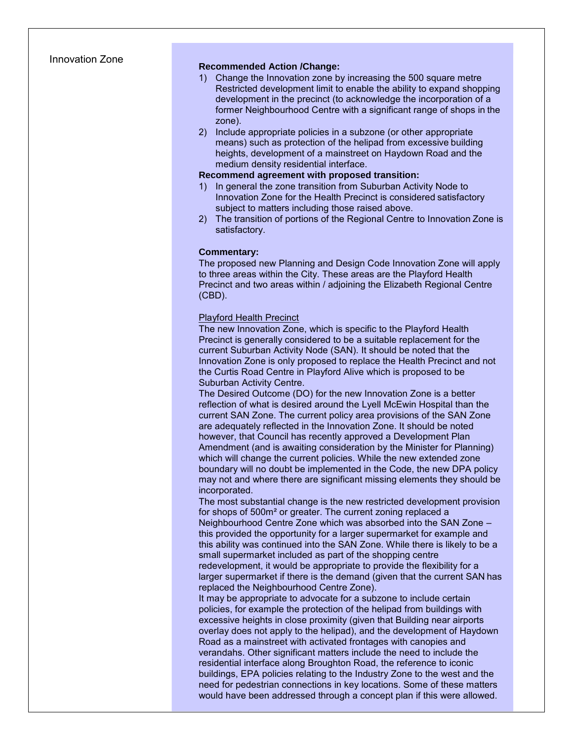# Innovation Zone **Recommended Action /Change:**

- 1) Change the Innovation zone by increasing the 500 square metre Restricted development limit to enable the ability to expand shopping development in the precinct (to acknowledge the incorporation of a former Neighbourhood Centre with a significant range of shops in the zone).
- 2) Include appropriate policies in a subzone (or other appropriate means) such as protection of the helipad from excessive building heights, development of a mainstreet on Haydown Road and the medium density residential interface.

#### **Recommend agreement with proposed transition:**

- 1) In general the zone transition from Suburban Activity Node to Innovation Zone for the Health Precinct is considered satisfactory subject to matters including those raised above.
- 2) The transition of portions of the Regional Centre to Innovation Zone is satisfactory.

#### **Commentary:**

The proposed new Planning and Design Code Innovation Zone will apply to three areas within the City. These areas are the Playford Health Precinct and two areas within / adjoining the Elizabeth Regional Centre (CBD).

#### Playford Health Precinct

The new Innovation Zone, which is specific to the Playford Health Precinct is generally considered to be a suitable replacement for the current Suburban Activity Node (SAN). It should be noted that the Innovation Zone is only proposed to replace the Health Precinct and not the Curtis Road Centre in Playford Alive which is proposed to be Suburban Activity Centre.

The Desired Outcome (DO) for the new Innovation Zone is a better reflection of what is desired around the Lyell McEwin Hospital than the current SAN Zone. The current policy area provisions of the SAN Zone are adequately reflected in the Innovation Zone. It should be noted however, that Council has recently approved a Development Plan Amendment (and is awaiting consideration by the Minister for Planning) which will change the current policies. While the new extended zone boundary will no doubt be implemented in the Code, the new DPA policy may not and where there are significant missing elements they should be incorporated.

The most substantial change is the new restricted development provision for shops of 500m² or greater. The current zoning replaced a Neighbourhood Centre Zone which was absorbed into the SAN Zone – this provided the opportunity for a larger supermarket for example and this ability was continued into the SAN Zone. While there is likely to be a small supermarket included as part of the shopping centre redevelopment, it would be appropriate to provide the flexibility for a larger supermarket if there is the demand (given that the current SAN has replaced the Neighbourhood Centre Zone).

It may be appropriate to advocate for a subzone to include certain policies, for example the protection of the helipad from buildings with excessive heights in close proximity (given that Building near airports overlay does not apply to the helipad), and the development of Haydown Road as a mainstreet with activated frontages with canopies and verandahs. Other significant matters include the need to include the residential interface along Broughton Road, the reference to iconic buildings, EPA policies relating to the Industry Zone to the west and the need for pedestrian connections in key locations. Some of these matters would have been addressed through a concept plan if this were allowed.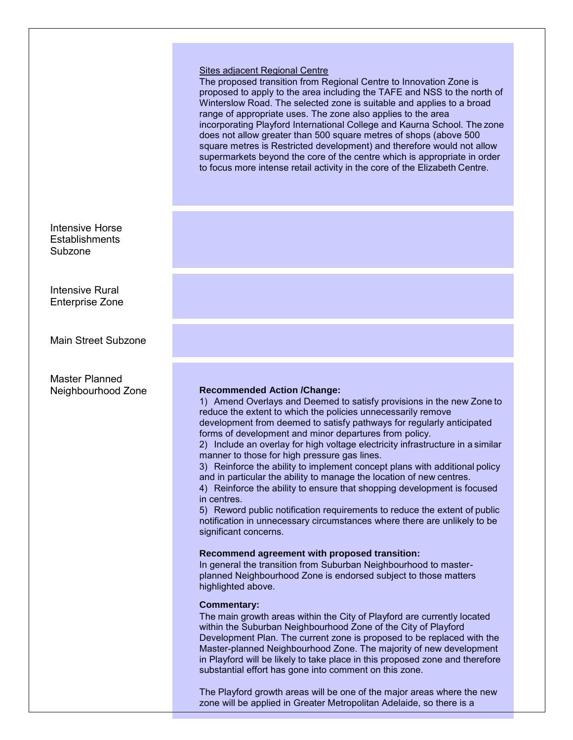#### Sites adjacent Regional Centre

The proposed transition from Regional Centre to Innovation Zone is proposed to apply to the area including the TAFE and NSS to the north of Winterslow Road. The selected zone is suitable and applies to a broad range of appropriate uses. The zone also applies to the area incorporating Playford International College and Kaurna School. The zone does not allow greater than 500 square metres of shops (above 500 square metres is Restricted development) and therefore would not allow supermarkets beyond the core of the centre which is appropriate in order to focus more intense retail activity in the core of the Elizabeth Centre.

Intensive Horse **Establishments** Subzone

Intensive Rural Enterprise Zone

Main Street Subzone

Master Planned

#### Neighbourhood Zone **Recommended Action /Change:**

1) Amend Overlays and Deemed to satisfy provisions in the new Zone to reduce the extent to which the policies unnecessarily remove development from deemed to satisfy pathways for regularly anticipated forms of development and minor departures from policy.

2) Include an overlay for high voltage electricity infrastructure in a similar manner to those for high pressure gas lines.

3) Reinforce the ability to implement concept plans with additional policy and in particular the ability to manage the location of new centres.

4) Reinforce the ability to ensure that shopping development is focused in centres.

5) Reword public notification requirements to reduce the extent of public notification in unnecessary circumstances where there are unlikely to be significant concerns.

#### **Recommend agreement with proposed transition:**

In general the transition from Suburban Neighbourhood to masterplanned Neighbourhood Zone is endorsed subject to those matters highlighted above.

#### **Commentary:**

The main growth areas within the City of Playford are currently located within the Suburban Neighbourhood Zone of the City of Playford Development Plan. The current zone is proposed to be replaced with the Master-planned Neighbourhood Zone. The majority of new development in Playford will be likely to take place in this proposed zone and therefore substantial effort has gone into comment on this zone.

The Playford growth areas will be one of the major areas where the new zone will be applied in Greater Metropolitan Adelaide, so there is a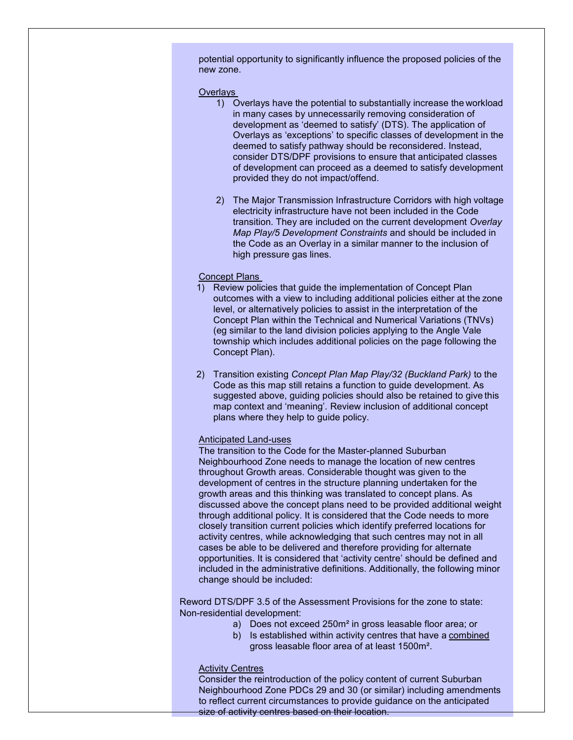potential opportunity to significantly influence the proposed policies of the new zone.

#### **Overlays**

- 1) Overlays have the potential to substantially increase the workload in many cases by unnecessarily removing consideration of development as 'deemed to satisfy' (DTS). The application of Overlays as 'exceptions' to specific classes of development in the deemed to satisfy pathway should be reconsidered. Instead, consider DTS/DPF provisions to ensure that anticipated classes of development can proceed as a deemed to satisfy development provided they do not impact/offend.
- 2) The Major Transmission Infrastructure Corridors with high voltage electricity infrastructure have not been included in the Code transition. They are included on the current development *Overlay Map Play/5 Development Constraints* and should be included in the Code as an Overlay in a similar manner to the inclusion of high pressure gas lines.

#### Concept Plans

- 1) Review policies that guide the implementation of Concept Plan outcomes with a view to including additional policies either at the zone level, or alternatively policies to assist in the interpretation of the Concept Plan within the Technical and Numerical Variations (TNVs) (eg similar to the land division policies applying to the Angle Vale township which includes additional policies on the page following the Concept Plan).
- 2) Transition existing *Concept Plan Map Play/32 (Buckland Park)* to the Code as this map still retains a function to guide development. As suggested above, guiding policies should also be retained to give this map context and 'meaning'. Review inclusion of additional concept plans where they help to guide policy.

#### Anticipated Land-uses

The transition to the Code for the Master-planned Suburban Neighbourhood Zone needs to manage the location of new centres throughout Growth areas. Considerable thought was given to the development of centres in the structure planning undertaken for the growth areas and this thinking was translated to concept plans. As discussed above the concept plans need to be provided additional weight through additional policy. It is considered that the Code needs to more closely transition current policies which identify preferred locations for activity centres, while acknowledging that such centres may not in all cases be able to be delivered and therefore providing for alternate opportunities. It is considered that 'activity centre' should be defined and included in the administrative definitions. Additionally, the following minor change should be included:

Reword DTS/DPF 3.5 of the Assessment Provisions for the zone to state: Non-residential development:

- a) Does not exceed 250m² in gross leasable floor area; or
- b) Is established within activity centres that have a combined gross leasable floor area of at least 1500m².

#### Activity Centres

Consider the reintroduction of the policy content of current Suburban Neighbourhood Zone PDCs 29 and 30 (or similar) including amendments to reflect current circumstances to provide guidance on the anticipated size of activity centres based on their location.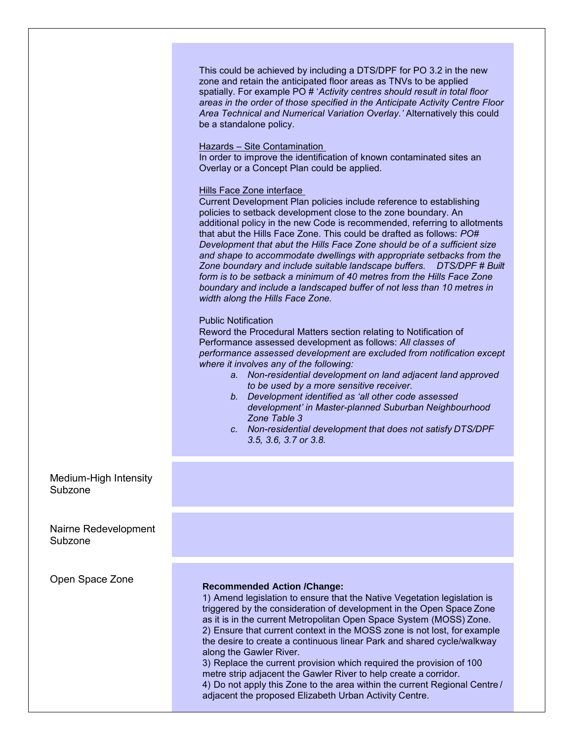This could be achieved by including a DTS/DPF for PO 3.2 in the new zone and retain the anticipated floor areas as TNVs to be applied spatially. For example PO # '*Activity centres should result in total floor areas in the order of those specified in the Anticipate Activity Centre Floor Area Technical and Numerical Variation Overlay.'* Alternatively this could be a standalone policy.

#### Hazards – Site Contamination

In order to improve the identification of known contaminated sites an Overlay or a Concept Plan could be applied.

#### Hills Face Zone interface

Current Development Plan policies include reference to establishing policies to setback development close to the zone boundary. An additional policy in the new Code is recommended, referring to allotments that abut the Hills Face Zone. This could be drafted as follows: *PO# Development that abut the Hills Face Zone should be of a sufficient size and shape to accommodate dwellings with appropriate setbacks from the Zone boundary and include suitable landscape buffers. DTS/DPF # Built form is to be setback a minimum of 40 metres from the Hills Face Zone boundary and include a landscaped buffer of not less than 10 metres in width along the Hills Face Zone.*

#### Public Notification

Reword the Procedural Matters section relating to Notification of Performance assessed development as follows: *All classes of performance assessed development are excluded from notification except where it involves any of the following:*

- *a. Non-residential development on land adjacent land approved to be used by a more sensitive receiver.*
- *b. Development identified as 'all other code assessed development' in Master-planned Suburban Neighbourhood Zone Table 3*
- *c. Non-residential development that does not satisfy DTS/DPF 3.5, 3.6, 3.7 or 3.8.*

### Medium-High Intensity Subzone

Nairne Redevelopment Subzone

# Open Space Zone **Recommended Action /Change:**

1) Amend legislation to ensure that the Native Vegetation legislation is triggered by the consideration of development in the Open Space Zone as it is in the current Metropolitan Open Space System (MOSS) Zone. 2) Ensure that current context in the MOSS zone is not lost, for example the desire to create a continuous linear Park and shared cycle/walkway along the Gawler River. 3) Replace the current provision which required the provision of 100

metre strip adjacent the Gawler River to help create a corridor. 4) Do not apply this Zone to the area within the current Regional Centre / adjacent the proposed Elizabeth Urban Activity Centre.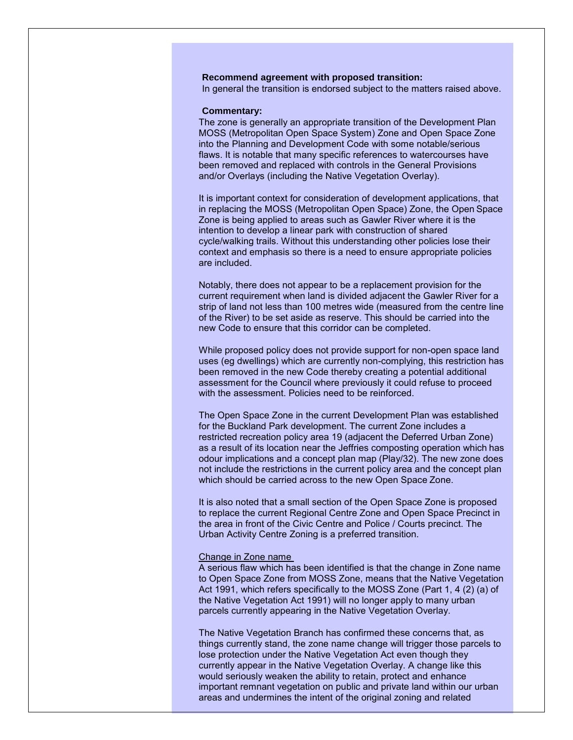#### **Recommend agreement with proposed transition:**

In general the transition is endorsed subject to the matters raised above.

#### **Commentary:**

The zone is generally an appropriate transition of the Development Plan MOSS (Metropolitan Open Space System) Zone and Open Space Zone into the Planning and Development Code with some notable/serious flaws. It is notable that many specific references to watercourses have been removed and replaced with controls in the General Provisions and/or Overlays (including the Native Vegetation Overlay).

It is important context for consideration of development applications, that in replacing the MOSS (Metropolitan Open Space) Zone, the Open Space Zone is being applied to areas such as Gawler River where it is the intention to develop a linear park with construction of shared cycle/walking trails. Without this understanding other policies lose their context and emphasis so there is a need to ensure appropriate policies are included.

Notably, there does not appear to be a replacement provision for the current requirement when land is divided adjacent the Gawler River for a strip of land not less than 100 metres wide (measured from the centre line of the River) to be set aside as reserve. This should be carried into the new Code to ensure that this corridor can be completed.

While proposed policy does not provide support for non-open space land uses (eg dwellings) which are currently non-complying, this restriction has been removed in the new Code thereby creating a potential additional assessment for the Council where previously it could refuse to proceed with the assessment. Policies need to be reinforced.

The Open Space Zone in the current Development Plan was established for the Buckland Park development. The current Zone includes a restricted recreation policy area 19 (adjacent the Deferred Urban Zone) as a result of its location near the Jeffries composting operation which has odour implications and a concept plan map (Play/32). The new zone does not include the restrictions in the current policy area and the concept plan which should be carried across to the new Open Space Zone.

It is also noted that a small section of the Open Space Zone is proposed to replace the current Regional Centre Zone and Open Space Precinct in the area in front of the Civic Centre and Police / Courts precinct. The Urban Activity Centre Zoning is a preferred transition.

#### Change in Zone name

A serious flaw which has been identified is that the change in Zone name to Open Space Zone from MOSS Zone, means that the Native Vegetation Act 1991, which refers specifically to the MOSS Zone (Part 1, 4 (2) (a) of the Native Vegetation Act 1991) will no longer apply to many urban parcels currently appearing in the Native Vegetation Overlay.

The Native Vegetation Branch has confirmed these concerns that, as things currently stand, the zone name change will trigger those parcels to lose protection under the Native Vegetation Act even though they currently appear in the Native Vegetation Overlay. A change like this would seriously weaken the ability to retain, protect and enhance important remnant vegetation on public and private land within our urban areas and undermines the intent of the original zoning and related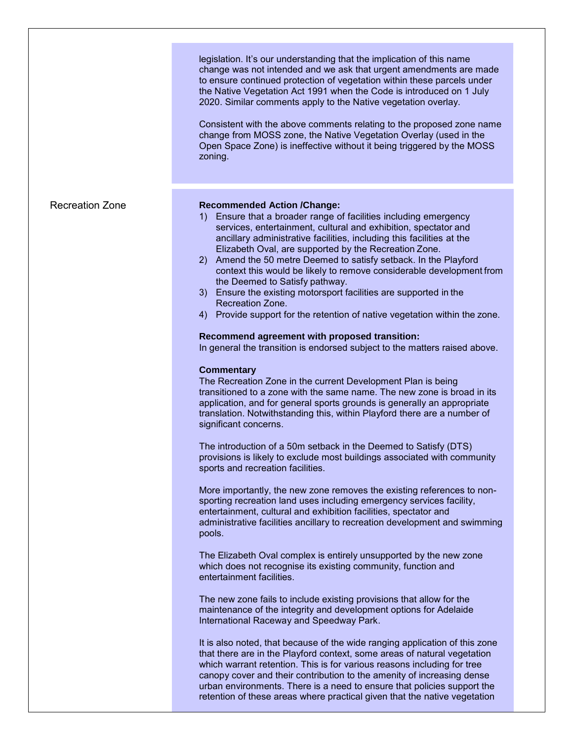|                        | legislation. It's our understanding that the implication of this name<br>change was not intended and we ask that urgent amendments are made<br>to ensure continued protection of vegetation within these parcels under<br>the Native Vegetation Act 1991 when the Code is introduced on 1 July<br>2020. Similar comments apply to the Native vegetation overlay.<br>Consistent with the above comments relating to the proposed zone name<br>change from MOSS zone, the Native Vegetation Overlay (used in the<br>Open Space Zone) is ineffective without it being triggered by the MOSS<br>zoning.                                                                                                                                                                                                                                                                                                                                                                                                                                                                                                                                                                                                                                                                                                                                                                                                                                                                                                                                                                                                                                                                                                                                                                                                                                                                                               |
|------------------------|---------------------------------------------------------------------------------------------------------------------------------------------------------------------------------------------------------------------------------------------------------------------------------------------------------------------------------------------------------------------------------------------------------------------------------------------------------------------------------------------------------------------------------------------------------------------------------------------------------------------------------------------------------------------------------------------------------------------------------------------------------------------------------------------------------------------------------------------------------------------------------------------------------------------------------------------------------------------------------------------------------------------------------------------------------------------------------------------------------------------------------------------------------------------------------------------------------------------------------------------------------------------------------------------------------------------------------------------------------------------------------------------------------------------------------------------------------------------------------------------------------------------------------------------------------------------------------------------------------------------------------------------------------------------------------------------------------------------------------------------------------------------------------------------------------------------------------------------------------------------------------------------------|
| <b>Recreation Zone</b> | <b>Recommended Action /Change:</b><br>1) Ensure that a broader range of facilities including emergency<br>services, entertainment, cultural and exhibition, spectator and<br>ancillary administrative facilities, including this facilities at the<br>Elizabeth Oval, are supported by the Recreation Zone.<br>2) Amend the 50 metre Deemed to satisfy setback. In the Playford<br>context this would be likely to remove considerable development from<br>the Deemed to Satisfy pathway.<br>3) Ensure the existing motorsport facilities are supported in the<br>Recreation Zone.<br>Provide support for the retention of native vegetation within the zone.<br>4)<br>Recommend agreement with proposed transition:<br>In general the transition is endorsed subject to the matters raised above.<br><b>Commentary</b><br>The Recreation Zone in the current Development Plan is being<br>transitioned to a zone with the same name. The new zone is broad in its<br>application, and for general sports grounds is generally an appropriate<br>translation. Notwithstanding this, within Playford there are a number of<br>significant concerns.<br>The introduction of a 50m setback in the Deemed to Satisfy (DTS)<br>provisions is likely to exclude most buildings associated with community<br>sports and recreation facilities.<br>More importantly, the new zone removes the existing references to non-<br>sporting recreation land uses including emergency services facility,<br>entertainment, cultural and exhibition facilities, spectator and<br>administrative facilities ancillary to recreation development and swimming<br>pools.<br>The Elizabeth Oval complex is entirely unsupported by the new zone<br>which does not recognise its existing community, function and<br>entertainment facilities.<br>The new zone fails to include existing provisions that allow for the |
|                        | maintenance of the integrity and development options for Adelaide<br>International Raceway and Speedway Park.<br>It is also noted, that because of the wide ranging application of this zone<br>that there are in the Playford context, some areas of natural vegetation<br>which warrant retention. This is for various reasons including for tree<br>canopy cover and their contribution to the amenity of increasing dense<br>urban environments. There is a need to ensure that policies support the<br>retention of these areas where practical given that the native vegetation                                                                                                                                                                                                                                                                                                                                                                                                                                                                                                                                                                                                                                                                                                                                                                                                                                                                                                                                                                                                                                                                                                                                                                                                                                                                                                             |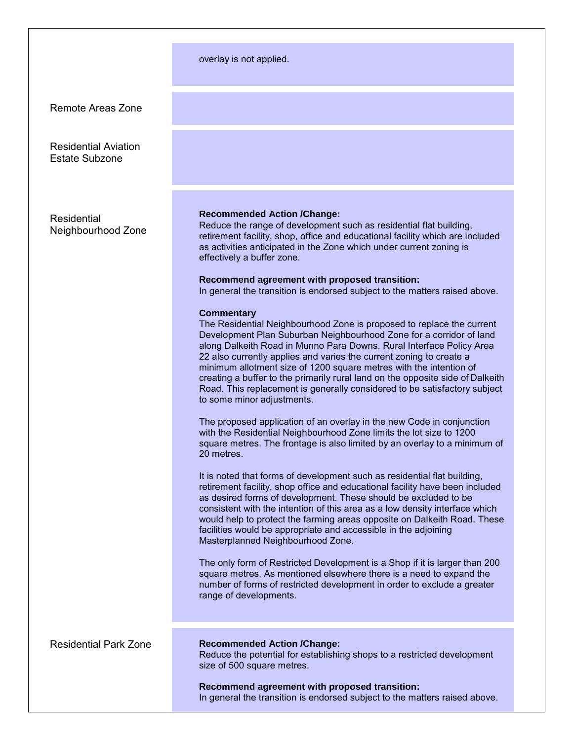#### overlay is not applied.

Remote Areas Zone

Residential Aviation Estate Subzone

Residential Neighbourhood Zone

#### **Recommended Action /Change:**

Reduce the range of development such as residential flat building, retirement facility, shop, office and educational facility which are included as activities anticipated in the Zone which under current zoning is effectively a buffer zone.

#### **Recommend agreement with proposed transition:**

In general the transition is endorsed subject to the matters raised above.

#### **Commentary**

The Residential Neighbourhood Zone is proposed to replace the current Development Plan Suburban Neighbourhood Zone for a corridor of land along Dalkeith Road in Munno Para Downs. Rural Interface Policy Area 22 also currently applies and varies the current zoning to create a minimum allotment size of 1200 square metres with the intention of creating a buffer to the primarily rural land on the opposite side of Dalkeith Road. This replacement is generally considered to be satisfactory subject to some minor adjustments.

The proposed application of an overlay in the new Code in conjunction with the Residential Neighbourhood Zone limits the lot size to 1200 square metres. The frontage is also limited by an overlay to a minimum of 20 metres.

It is noted that forms of development such as residential flat building, retirement facility, shop office and educational facility have been included as desired forms of development. These should be excluded to be consistent with the intention of this area as a low density interface which would help to protect the farming areas opposite on Dalkeith Road. These facilities would be appropriate and accessible in the adjoining Masterplanned Neighbourhood Zone.

The only form of Restricted Development is a Shop if it is larger than 200 square metres. As mentioned elsewhere there is a need to expand the number of forms of restricted development in order to exclude a greater range of developments.

#### Residential Park Zone **Recommended Action /Change:**

Reduce the potential for establishing shops to a restricted development size of 500 square metres.

**Recommend agreement with proposed transition:** In general the transition is endorsed subject to the matters raised above.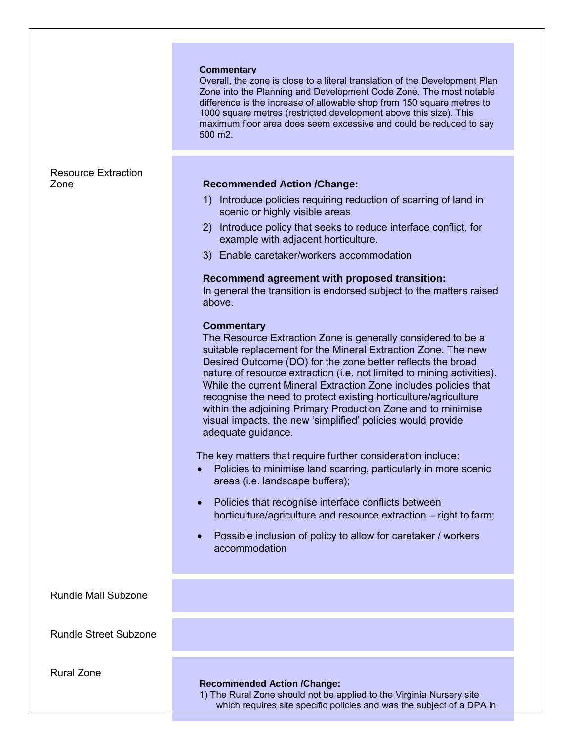#### **Commentary**

Overall, the zone is close to a literal translation of the Development Plan Zone into the Planning and Development Code Zone. The most notable difference is the increase of allowable shop from 150 square metres to 1000 square metres (restricted development above this size). This maximum floor area does seem excessive and could be reduced to say 500 m2.

# Resource Extraction

### Zone **Recommended Action /Change:**

- 1) Introduce policies requiring reduction of scarring of land in scenic or highly visible areas
- 2) Introduce policy that seeks to reduce interface conflict, for example with adjacent horticulture.
- 3) Enable caretaker/workers accommodation

#### **Recommend agreement with proposed transition:**

In general the transition is endorsed subject to the matters raised above.

#### **Commentary**

The Resource Extraction Zone is generally considered to be a suitable replacement for the Mineral Extraction Zone. The new Desired Outcome (DO) for the zone better reflects the broad nature of resource extraction (i.e. not limited to mining activities). While the current Mineral Extraction Zone includes policies that recognise the need to protect existing horticulture/agriculture within the adjoining Primary Production Zone and to minimise visual impacts, the new 'simplified' policies would provide adequate guidance.

The key matters that require further consideration include:

- Policies to minimise land scarring, particularly in more scenic areas (i.e. landscape buffers);
- Policies that recognise interface conflicts between horticulture/agriculture and resource extraction – right to farm;
- Possible inclusion of policy to allow for caretaker / workers accommodation

Rundle Mall Subzone

Rundle Street Subzone

Rural Zone

#### **Recommended Action /Change:**

1) The Rural Zone should not be applied to the Virginia Nursery site which requires site specific policies and was the subject of a DPA in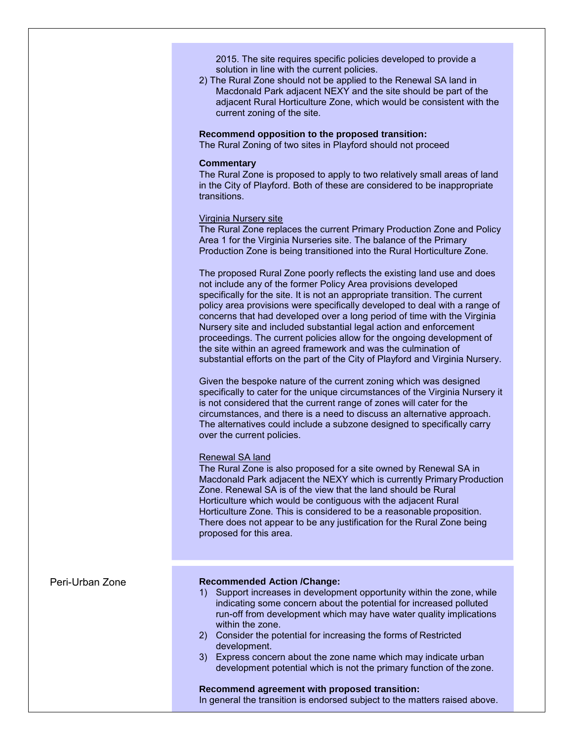2015. The site requires specific policies developed to provide a solution in line with the current policies.

2) The Rural Zone should not be applied to the Renewal SA land in Macdonald Park adjacent NEXY and the site should be part of the adjacent Rural Horticulture Zone, which would be consistent with the current zoning of the site.

**Recommend opposition to the proposed transition:**

The Rural Zoning of two sites in Playford should not proceed

#### **Commentary**

The Rural Zone is proposed to apply to two relatively small areas of land in the City of Playford. Both of these are considered to be inappropriate transitions.

#### Virginia Nursery site

The Rural Zone replaces the current Primary Production Zone and Policy Area 1 for the Virginia Nurseries site. The balance of the Primary Production Zone is being transitioned into the Rural Horticulture Zone.

The proposed Rural Zone poorly reflects the existing land use and does not include any of the former Policy Area provisions developed specifically for the site. It is not an appropriate transition. The current policy area provisions were specifically developed to deal with a range of concerns that had developed over a long period of time with the Virginia Nursery site and included substantial legal action and enforcement proceedings. The current policies allow for the ongoing development of the site within an agreed framework and was the culmination of substantial efforts on the part of the City of Playford and Virginia Nursery.

Given the bespoke nature of the current zoning which was designed specifically to cater for the unique circumstances of the Virginia Nursery it is not considered that the current range of zones will cater for the circumstances, and there is a need to discuss an alternative approach. The alternatives could include a subzone designed to specifically carry over the current policies.

#### Renewal SA land

The Rural Zone is also proposed for a site owned by Renewal SA in Macdonald Park adjacent the NEXY which is currently Primary Production Zone. Renewal SA is of the view that the land should be Rural Horticulture which would be contiguous with the adjacent Rural Horticulture Zone. This is considered to be a reasonable proposition. There does not appear to be any justification for the Rural Zone being proposed for this area.

#### Peri-Urban Zone **Recommended Action /Change:**

- 1) Support increases in development opportunity within the zone, while indicating some concern about the potential for increased polluted run-off from development which may have water quality implications within the zone.
- 2) Consider the potential for increasing the forms of Restricted development.
- 3) Express concern about the zone name which may indicate urban development potential which is not the primary function of the zone.

#### **Recommend agreement with proposed transition:**

In general the transition is endorsed subject to the matters raised above.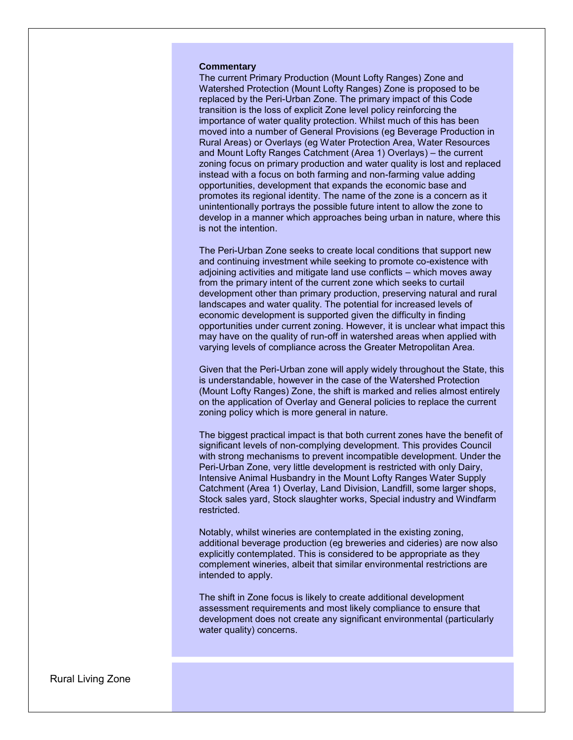#### **Commentary**

The current Primary Production (Mount Lofty Ranges) Zone and Watershed Protection (Mount Lofty Ranges) Zone is proposed to be replaced by the Peri-Urban Zone. The primary impact of this Code transition is the loss of explicit Zone level policy reinforcing the importance of water quality protection. Whilst much of this has been moved into a number of General Provisions (eg Beverage Production in Rural Areas) or Overlays (eg Water Protection Area, Water Resources and Mount Lofty Ranges Catchment (Area 1) Overlays) – the current zoning focus on primary production and water quality is lost and replaced instead with a focus on both farming and non-farming value adding opportunities, development that expands the economic base and promotes its regional identity. The name of the zone is a concern as it unintentionally portrays the possible future intent to allow the zone to develop in a manner which approaches being urban in nature, where this is not the intention.

The Peri-Urban Zone seeks to create local conditions that support new and continuing investment while seeking to promote co-existence with adjoining activities and mitigate land use conflicts – which moves away from the primary intent of the current zone which seeks to curtail development other than primary production, preserving natural and rural landscapes and water quality. The potential for increased levels of economic development is supported given the difficulty in finding opportunities under current zoning. However, it is unclear what impact this may have on the quality of run-off in watershed areas when applied with varying levels of compliance across the Greater Metropolitan Area.

Given that the Peri-Urban zone will apply widely throughout the State, this is understandable, however in the case of the Watershed Protection (Mount Lofty Ranges) Zone, the shift is marked and relies almost entirely on the application of Overlay and General policies to replace the current zoning policy which is more general in nature.

The biggest practical impact is that both current zones have the benefit of significant levels of non-complying development. This provides Council with strong mechanisms to prevent incompatible development. Under the Peri-Urban Zone, very little development is restricted with only Dairy, Intensive Animal Husbandry in the Mount Lofty Ranges Water Supply Catchment (Area 1) Overlay, Land Division, Landfill, some larger shops, Stock sales yard, Stock slaughter works, Special industry and Windfarm restricted.

Notably, whilst wineries are contemplated in the existing zoning, additional beverage production (eg breweries and cideries) are now also explicitly contemplated. This is considered to be appropriate as they complement wineries, albeit that similar environmental restrictions are intended to apply.

The shift in Zone focus is likely to create additional development assessment requirements and most likely compliance to ensure that development does not create any significant environmental (particularly water quality) concerns.

Rural Living Zone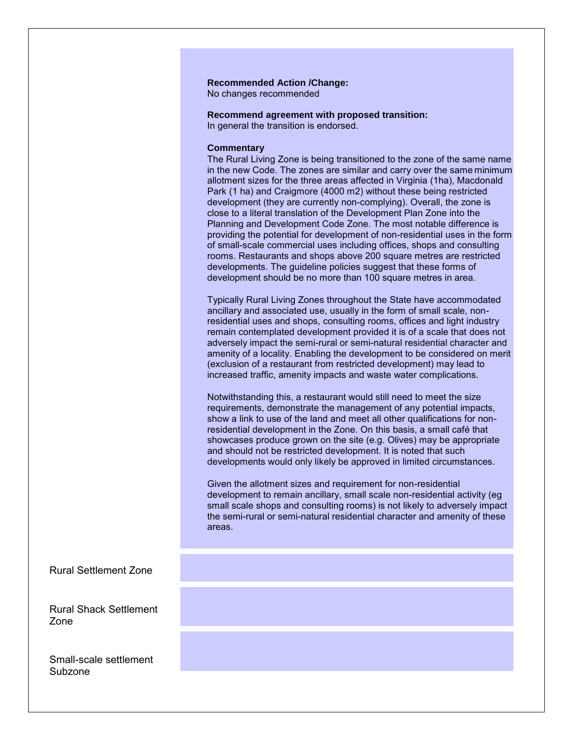#### **Recommended Action /Change:** No changes recommended

**Recommend agreement with proposed transition:** In general the transition is endorsed.

#### **Commentary**

The Rural Living Zone is being transitioned to the zone of the same name in the new Code. The zones are similar and carry over the same minimum allotment sizes for the three areas affected in Virginia (1ha), Macdonald Park (1 ha) and Craigmore (4000 m2) without these being restricted development (they are currently non-complying). Overall, the zone is close to a literal translation of the Development Plan Zone into the Planning and Development Code Zone. The most notable difference is providing the potential for development of non-residential uses in the form of small-scale commercial uses including offices, shops and consulting rooms. Restaurants and shops above 200 square metres are restricted developments. The guideline policies suggest that these forms of development should be no more than 100 square metres in area.

Typically Rural Living Zones throughout the State have accommodated ancillary and associated use, usually in the form of small scale, nonresidential uses and shops, consulting rooms, offices and light industry remain contemplated development provided it is of a scale that does not adversely impact the semi-rural or semi-natural residential character and amenity of a locality. Enabling the development to be considered on merit (exclusion of a restaurant from restricted development) may lead to increased traffic, amenity impacts and waste water complications.

Notwithstanding this, a restaurant would still need to meet the size requirements, demonstrate the management of any potential impacts, show a link to use of the land and meet all other qualifications for nonresidential development in the Zone. On this basis, a small café that showcases produce grown on the site (e.g. Olives) may be appropriate and should not be restricted development. It is noted that such developments would only likely be approved in limited circumstances.

Given the allotment sizes and requirement for non-residential development to remain ancillary, small scale non-residential activity (eg small scale shops and consulting rooms) is not likely to adversely impact the semi-rural or semi-natural residential character and amenity of these areas.

Rural Settlement Zone

Rural Shack Settlement Zone

Small-scale settlement Subzone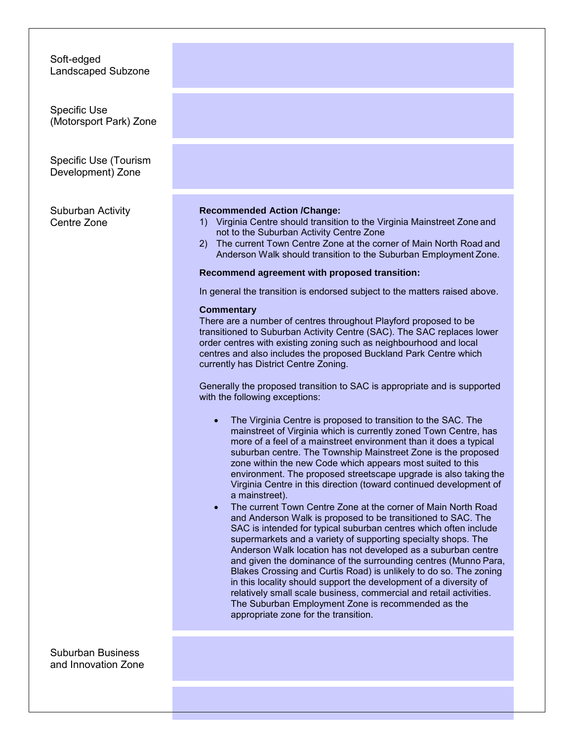Soft-edged Landscaped Subzone

Specific Use (Motorsport Park) Zone

Specific Use (Tourism Development) Zone

Suburban Activity Centre Zone

#### **Recommended Action /Change:**

- 1) Virginia Centre should transition to the Virginia Mainstreet Zone and not to the Suburban Activity Centre Zone
- 2) The current Town Centre Zone at the corner of Main North Road and Anderson Walk should transition to the Suburban Employment Zone.

#### **Recommend agreement with proposed transition:**

In general the transition is endorsed subject to the matters raised above.

#### **Commentary**

There are a number of centres throughout Playford proposed to be transitioned to Suburban Activity Centre (SAC). The SAC replaces lower order centres with existing zoning such as neighbourhood and local centres and also includes the proposed Buckland Park Centre which currently has District Centre Zoning.

Generally the proposed transition to SAC is appropriate and is supported with the following exceptions:

- The Virginia Centre is proposed to transition to the SAC. The mainstreet of Virginia which is currently zoned Town Centre, has more of a feel of a mainstreet environment than it does a typical suburban centre. The Township Mainstreet Zone is the proposed zone within the new Code which appears most suited to this environment. The proposed streetscape upgrade is also taking the Virginia Centre in this direction (toward continued development of a mainstreet).
- The current Town Centre Zone at the corner of Main North Road and Anderson Walk is proposed to be transitioned to SAC. The SAC is intended for typical suburban centres which often include supermarkets and a variety of supporting specialty shops. The Anderson Walk location has not developed as a suburban centre and given the dominance of the surrounding centres (Munno Para, Blakes Crossing and Curtis Road) is unlikely to do so. The zoning in this locality should support the development of a diversity of relatively small scale business, commercial and retail activities. The Suburban Employment Zone is recommended as the appropriate zone for the transition.

Suburban Business and Innovation Zone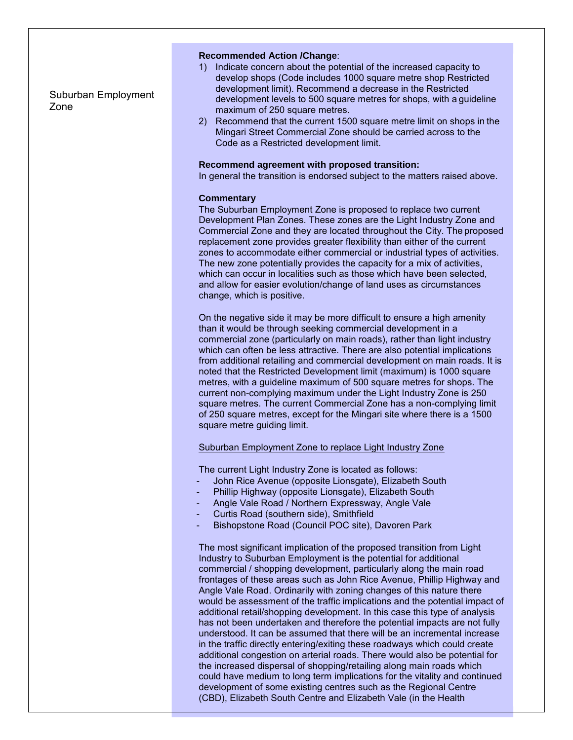Suburban Employment Zone

#### **Recommended Action /Change**:

- 1) Indicate concern about the potential of the increased capacity to develop shops (Code includes 1000 square metre shop Restricted development limit). Recommend a decrease in the Restricted development levels to 500 square metres for shops, with a guideline maximum of 250 square metres.
- 2) Recommend that the current 1500 square metre limit on shops in the Mingari Street Commercial Zone should be carried across to the Code as a Restricted development limit.

#### **Recommend agreement with proposed transition:**

In general the transition is endorsed subject to the matters raised above.

#### **Commentary**

The Suburban Employment Zone is proposed to replace two current Development Plan Zones. These zones are the Light Industry Zone and Commercial Zone and they are located throughout the City. The proposed replacement zone provides greater flexibility than either of the current zones to accommodate either commercial or industrial types of activities. The new zone potentially provides the capacity for a mix of activities, which can occur in localities such as those which have been selected, and allow for easier evolution/change of land uses as circumstances change, which is positive.

On the negative side it may be more difficult to ensure a high amenity than it would be through seeking commercial development in a commercial zone (particularly on main roads), rather than light industry which can often be less attractive. There are also potential implications from additional retailing and commercial development on main roads. It is noted that the Restricted Development limit (maximum) is 1000 square metres, with a guideline maximum of 500 square metres for shops. The current non-complying maximum under the Light Industry Zone is 250 square metres. The current Commercial Zone has a non-complying limit of 250 square metres, except for the Mingari site where there is a 1500 square metre guiding limit.

#### Suburban Employment Zone to replace Light Industry Zone

The current Light Industry Zone is located as follows:

- John Rice Avenue (opposite Lionsgate), Elizabeth South
- Phillip Highway (opposite Lionsgate), Elizabeth South
- Angle Vale Road / Northern Expressway, Angle Vale
- Curtis Road (southern side), Smithfield
- Bishopstone Road (Council POC site), Davoren Park

The most significant implication of the proposed transition from Light Industry to Suburban Employment is the potential for additional commercial / shopping development, particularly along the main road frontages of these areas such as John Rice Avenue, Phillip Highway and Angle Vale Road. Ordinarily with zoning changes of this nature there would be assessment of the traffic implications and the potential impact of additional retail/shopping development. In this case this type of analysis has not been undertaken and therefore the potential impacts are not fully understood. It can be assumed that there will be an incremental increase in the traffic directly entering/exiting these roadways which could create additional congestion on arterial roads. There would also be potential for the increased dispersal of shopping/retailing along main roads which could have medium to long term implications for the vitality and continued development of some existing centres such as the Regional Centre (CBD), Elizabeth South Centre and Elizabeth Vale (in the Health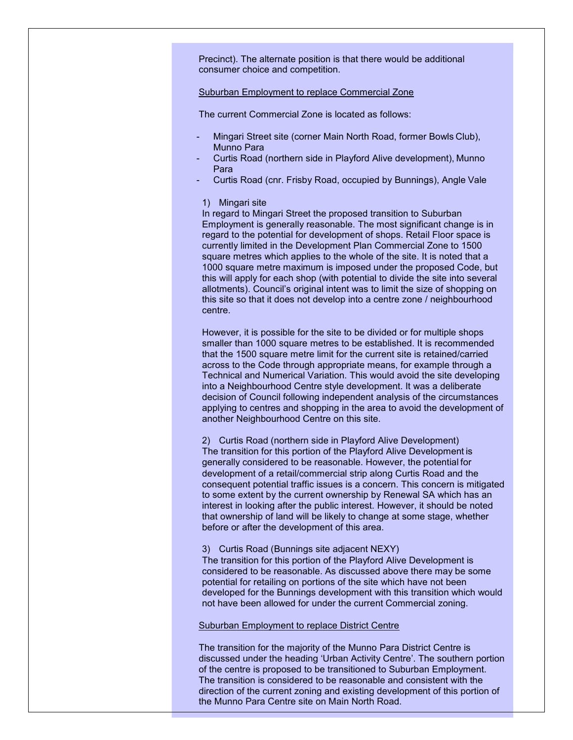Precinct). The alternate position is that there would be additional consumer choice and competition.

#### Suburban Employment to replace Commercial Zone

The current Commercial Zone is located as follows:

- Mingari Street site (corner Main North Road, former Bowls Club), Munno Para
- Curtis Road (northern side in Playford Alive development), Munno Para
- Curtis Road (cnr. Frisby Road, occupied by Bunnings), Angle Vale

#### 1) Mingari site

In regard to Mingari Street the proposed transition to Suburban Employment is generally reasonable. The most significant change is in regard to the potential for development of shops. Retail Floor space is currently limited in the Development Plan Commercial Zone to 1500 square metres which applies to the whole of the site. It is noted that a 1000 square metre maximum is imposed under the proposed Code, but this will apply for each shop (with potential to divide the site into several allotments). Council's original intent was to limit the size of shopping on this site so that it does not develop into a centre zone / neighbourhood centre.

However, it is possible for the site to be divided or for multiple shops smaller than 1000 square metres to be established. It is recommended that the 1500 square metre limit for the current site is retained/carried across to the Code through appropriate means, for example through a Technical and Numerical Variation. This would avoid the site developing into a Neighbourhood Centre style development. It was a deliberate decision of Council following independent analysis of the circumstances applying to centres and shopping in the area to avoid the development of another Neighbourhood Centre on this site.

2) Curtis Road (northern side in Playford Alive Development) The transition for this portion of the Playford Alive Development is generally considered to be reasonable. However, the potential for development of a retail/commercial strip along Curtis Road and the consequent potential traffic issues is a concern. This concern is mitigated to some extent by the current ownership by Renewal SA which has an interest in looking after the public interest. However, it should be noted that ownership of land will be likely to change at some stage, whether before or after the development of this area.

#### 3) Curtis Road (Bunnings site adjacent NEXY)

The transition for this portion of the Playford Alive Development is considered to be reasonable. As discussed above there may be some potential for retailing on portions of the site which have not been developed for the Bunnings development with this transition which would not have been allowed for under the current Commercial zoning.

#### Suburban Employment to replace District Centre

The transition for the majority of the Munno Para District Centre is discussed under the heading 'Urban Activity Centre'. The southern portion of the centre is proposed to be transitioned to Suburban Employment. The transition is considered to be reasonable and consistent with the direction of the current zoning and existing development of this portion of the Munno Para Centre site on Main North Road.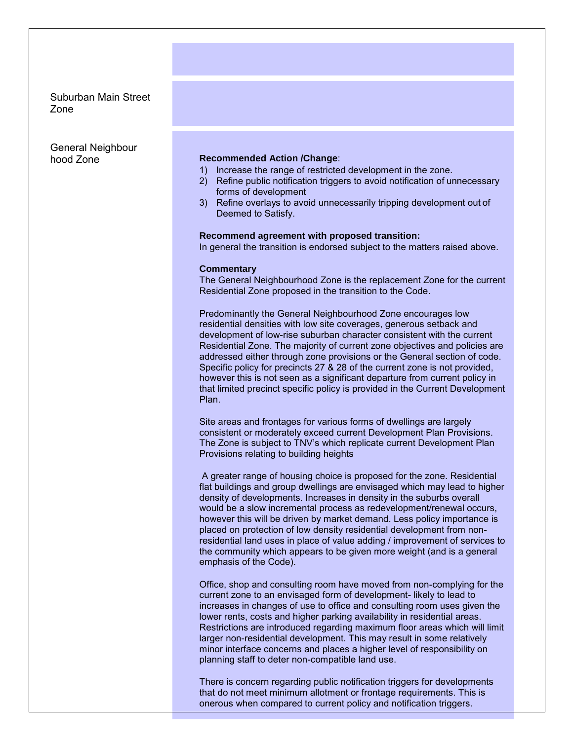### Suburban Main Street Zone

General Neighbour

#### hood Zone **Recommended Action /Change**:

- 1) Increase the range of restricted development in the zone.
- 2) Refine public notification triggers to avoid notification of unnecessary forms of development
- 3) Refine overlays to avoid unnecessarily tripping development out of Deemed to Satisfy.

#### **Recommend agreement with proposed transition:**

In general the transition is endorsed subject to the matters raised above.

#### **Commentary**

The General Neighbourhood Zone is the replacement Zone for the current Residential Zone proposed in the transition to the Code.

Predominantly the General Neighbourhood Zone encourages low residential densities with low site coverages, generous setback and development of low-rise suburban character consistent with the current Residential Zone. The majority of current zone objectives and policies are addressed either through zone provisions or the General section of code. Specific policy for precincts 27 & 28 of the current zone is not provided, however this is not seen as a significant departure from current policy in that limited precinct specific policy is provided in the Current Development Plan.

Site areas and frontages for various forms of dwellings are largely consistent or moderately exceed current Development Plan Provisions. The Zone is subject to TNV's which replicate current Development Plan Provisions relating to building heights

A greater range of housing choice is proposed for the zone. Residential flat buildings and group dwellings are envisaged which may lead to higher density of developments. Increases in density in the suburbs overall would be a slow incremental process as redevelopment/renewal occurs, however this will be driven by market demand. Less policy importance is placed on protection of low density residential development from nonresidential land uses in place of value adding / improvement of services to the community which appears to be given more weight (and is a general emphasis of the Code).

Office, shop and consulting room have moved from non-complying for the current zone to an envisaged form of development- likely to lead to increases in changes of use to office and consulting room uses given the lower rents, costs and higher parking availability in residential areas. Restrictions are introduced regarding maximum floor areas which will limit larger non-residential development. This may result in some relatively minor interface concerns and places a higher level of responsibility on planning staff to deter non-compatible land use.

There is concern regarding public notification triggers for developments that do not meet minimum allotment or frontage requirements. This is onerous when compared to current policy and notification triggers.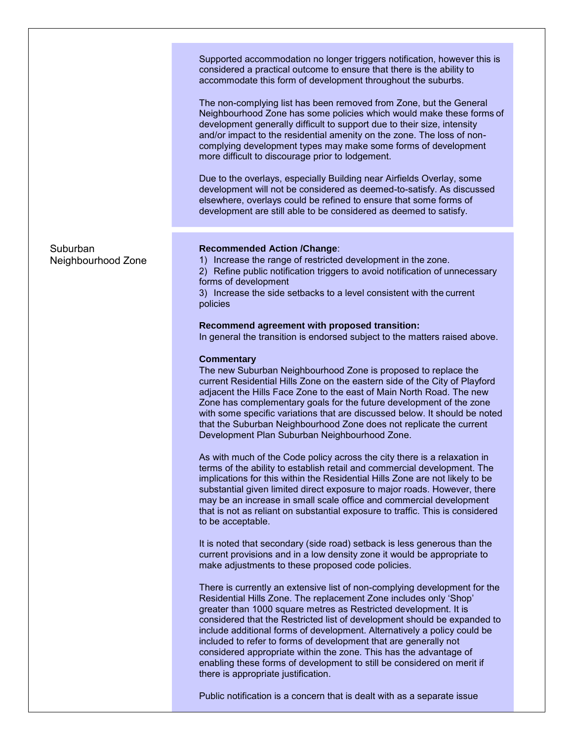Supported accommodation no longer triggers notification, however this is considered a practical outcome to ensure that there is the ability to accommodate this form of development throughout the suburbs.

The non-complying list has been removed from Zone, but the General Neighbourhood Zone has some policies which would make these forms of development generally difficult to support due to their size, intensity and/or impact to the residential amenity on the zone. The loss of noncomplying development types may make some forms of development more difficult to discourage prior to lodgement.

Due to the overlays, especially Building near Airfields Overlay, some development will not be considered as deemed-to-satisfy. As discussed elsewhere, overlays could be refined to ensure that some forms of development are still able to be considered as deemed to satisfy.

Suburban Neighbourhood Zone

#### **Recommended Action /Change**:

1) Increase the range of restricted development in the zone.

2) Refine public notification triggers to avoid notification of unnecessary forms of development

3) Increase the side setbacks to a level consistent with the current policies

#### **Recommend agreement with proposed transition:**

In general the transition is endorsed subject to the matters raised above.

#### **Commentary**

The new Suburban Neighbourhood Zone is proposed to replace the current Residential Hills Zone on the eastern side of the City of Playford adjacent the Hills Face Zone to the east of Main North Road. The new Zone has complementary goals for the future development of the zone with some specific variations that are discussed below. It should be noted that the Suburban Neighbourhood Zone does not replicate the current Development Plan Suburban Neighbourhood Zone.

As with much of the Code policy across the city there is a relaxation in terms of the ability to establish retail and commercial development. The implications for this within the Residential Hills Zone are not likely to be substantial given limited direct exposure to major roads. However, there may be an increase in small scale office and commercial development that is not as reliant on substantial exposure to traffic. This is considered to be acceptable.

It is noted that secondary (side road) setback is less generous than the current provisions and in a low density zone it would be appropriate to make adjustments to these proposed code policies.

There is currently an extensive list of non-complying development for the Residential Hills Zone. The replacement Zone includes only 'Shop' greater than 1000 square metres as Restricted development. It is considered that the Restricted list of development should be expanded to include additional forms of development. Alternatively a policy could be included to refer to forms of development that are generally not considered appropriate within the zone. This has the advantage of enabling these forms of development to still be considered on merit if there is appropriate justification.

Public notification is a concern that is dealt with as a separate issue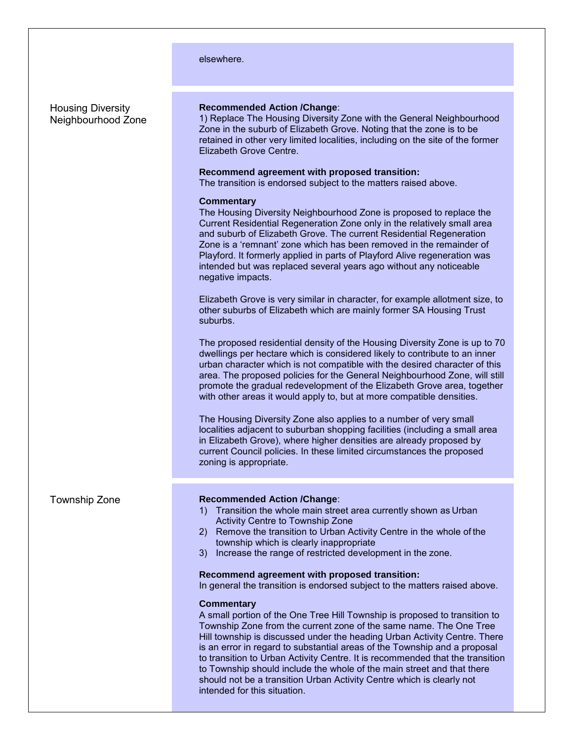|                                                | elsewhere.                                                                                                                                                                                                                                                                                                                                                                                                                                                                                                                                                                                                                                                                                                                                                                                                                                                                                                                                                                                                                                                                                                                                                                                                                                                                                                                                                                                                                                                                             |
|------------------------------------------------|----------------------------------------------------------------------------------------------------------------------------------------------------------------------------------------------------------------------------------------------------------------------------------------------------------------------------------------------------------------------------------------------------------------------------------------------------------------------------------------------------------------------------------------------------------------------------------------------------------------------------------------------------------------------------------------------------------------------------------------------------------------------------------------------------------------------------------------------------------------------------------------------------------------------------------------------------------------------------------------------------------------------------------------------------------------------------------------------------------------------------------------------------------------------------------------------------------------------------------------------------------------------------------------------------------------------------------------------------------------------------------------------------------------------------------------------------------------------------------------|
| <b>Housing Diversity</b><br>Neighbourhood Zone | <b>Recommended Action /Change:</b><br>1) Replace The Housing Diversity Zone with the General Neighbourhood<br>Zone in the suburb of Elizabeth Grove. Noting that the zone is to be<br>retained in other very limited localities, including on the site of the former<br>Elizabeth Grove Centre.<br>Recommend agreement with proposed transition:<br>The transition is endorsed subject to the matters raised above.<br><b>Commentary</b><br>The Housing Diversity Neighbourhood Zone is proposed to replace the<br>Current Residential Regeneration Zone only in the relatively small area<br>and suburb of Elizabeth Grove. The current Residential Regeneration<br>Zone is a 'remnant' zone which has been removed in the remainder of<br>Playford. It formerly applied in parts of Playford Alive regeneration was<br>intended but was replaced several years ago without any noticeable<br>negative impacts.<br>Elizabeth Grove is very similar in character, for example allotment size, to<br>other suburbs of Elizabeth which are mainly former SA Housing Trust<br>suburbs.<br>The proposed residential density of the Housing Diversity Zone is up to 70<br>dwellings per hectare which is considered likely to contribute to an inner<br>urban character which is not compatible with the desired character of this<br>area. The proposed policies for the General Neighbourhood Zone, will still<br>promote the gradual redevelopment of the Elizabeth Grove area, together |
|                                                | with other areas it would apply to, but at more compatible densities.<br>The Housing Diversity Zone also applies to a number of very small<br>localities adjacent to suburban shopping facilities (including a small area<br>in Elizabeth Grove), where higher densities are already proposed by<br>current Council policies. In these limited circumstances the proposed<br>zoning is appropriate.                                                                                                                                                                                                                                                                                                                                                                                                                                                                                                                                                                                                                                                                                                                                                                                                                                                                                                                                                                                                                                                                                    |
| <b>Township Zone</b>                           | <b>Recommended Action /Change:</b><br>Transition the whole main street area currently shown as Urban<br>1)<br>Activity Centre to Township Zone<br>2) Remove the transition to Urban Activity Centre in the whole of the<br>township which is clearly inappropriate<br>Increase the range of restricted development in the zone.<br>3)<br>Recommend agreement with proposed transition:<br>In general the transition is endorsed subject to the matters raised above.<br><b>Commentary</b><br>A small portion of the One Tree Hill Township is proposed to transition to<br>Township Zone from the current zone of the same name. The One Tree<br>Hill township is discussed under the heading Urban Activity Centre. There<br>is an error in regard to substantial areas of the Township and a proposal<br>to transition to Urban Activity Centre. It is recommended that the transition<br>to Township should include the whole of the main street and that there<br>should not be a transition Urban Activity Centre which is clearly not<br>intended for this situation.                                                                                                                                                                                                                                                                                                                                                                                                            |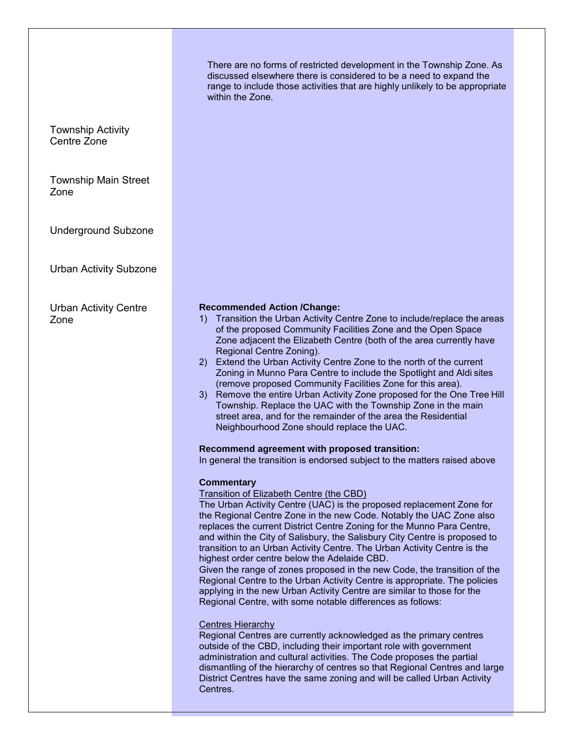There are no forms of restricted development in the Township Zone. As discussed elsewhere there is considered to be a need to expand the range to include those activities that are highly unlikely to be appropriate within the Zone.

Township Activity Centre Zone

Township Main Street Zone

Underground Subzone

Urban Activity Subzone

Urban Activity Centre Zone

### **Recommended Action /Change:**

- 1) Transition the Urban Activity Centre Zone to include/replace the areas of the proposed Community Facilities Zone and the Open Space Zone adjacent the Elizabeth Centre (both of the area currently have Regional Centre Zoning).
- 2) Extend the Urban Activity Centre Zone to the north of the current Zoning in Munno Para Centre to include the Spotlight and Aldi sites (remove proposed Community Facilities Zone for this area).
- 3) Remove the entire Urban Activity Zone proposed for the One Tree Hill Township. Replace the UAC with the Township Zone in the main street area, and for the remainder of the area the Residential Neighbourhood Zone should replace the UAC.

### **Recommend agreement with proposed transition:**

In general the transition is endorsed subject to the matters raised above

### **Commentary**

Transition of Elizabeth Centre (the CBD)

The Urban Activity Centre (UAC) is the proposed replacement Zone for the Regional Centre Zone in the new Code. Notably the UAC Zone also replaces the current District Centre Zoning for the Munno Para Centre, and within the City of Salisbury, the Salisbury City Centre is proposed to transition to an Urban Activity Centre. The Urban Activity Centre is the highest order centre below the Adelaide CBD.

Given the range of zones proposed in the new Code, the transition of the Regional Centre to the Urban Activity Centre is appropriate. The policies applying in the new Urban Activity Centre are similar to those for the Regional Centre, with some notable differences as follows:

### Centres Hierarchy

Regional Centres are currently acknowledged as the primary centres outside of the CBD, including their important role with government administration and cultural activities. The Code proposes the partial dismantling of the hierarchy of centres so that Regional Centres and large District Centres have the same zoning and will be called Urban Activity Centres.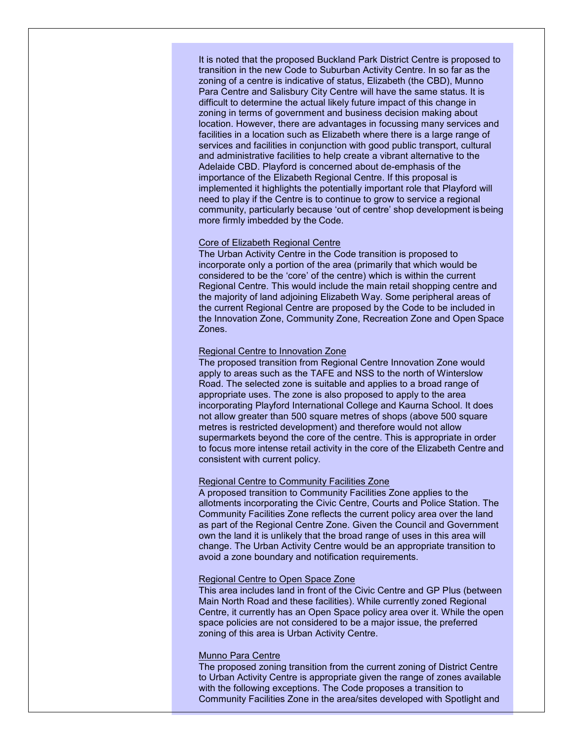It is noted that the proposed Buckland Park District Centre is proposed to transition in the new Code to Suburban Activity Centre. In so far as the zoning of a centre is indicative of status, Elizabeth (the CBD), Munno Para Centre and Salisbury City Centre will have the same status. It is difficult to determine the actual likely future impact of this change in zoning in terms of government and business decision making about location. However, there are advantages in focussing many services and facilities in a location such as Elizabeth where there is a large range of services and facilities in conjunction with good public transport, cultural and administrative facilities to help create a vibrant alternative to the Adelaide CBD. Playford is concerned about de-emphasis of the importance of the Elizabeth Regional Centre. If this proposal is implemented it highlights the potentially important role that Playford will need to play if the Centre is to continue to grow to service a regional community, particularly because 'out of centre' shop development isbeing more firmly imbedded by the Code.

#### Core of Elizabeth Regional Centre

The Urban Activity Centre in the Code transition is proposed to incorporate only a portion of the area (primarily that which would be considered to be the 'core' of the centre) which is within the current Regional Centre. This would include the main retail shopping centre and the majority of land adjoining Elizabeth Way. Some peripheral areas of the current Regional Centre are proposed by the Code to be included in the Innovation Zone, Community Zone, Recreation Zone and Open Space Zones.

#### Regional Centre to Innovation Zone

The proposed transition from Regional Centre Innovation Zone would apply to areas such as the TAFE and NSS to the north of Winterslow Road. The selected zone is suitable and applies to a broad range of appropriate uses. The zone is also proposed to apply to the area incorporating Playford International College and Kaurna School. It does not allow greater than 500 square metres of shops (above 500 square metres is restricted development) and therefore would not allow supermarkets beyond the core of the centre. This is appropriate in order to focus more intense retail activity in the core of the Elizabeth Centre and consistent with current policy.

#### Regional Centre to Community Facilities Zone

A proposed transition to Community Facilities Zone applies to the allotments incorporating the Civic Centre, Courts and Police Station. The Community Facilities Zone reflects the current policy area over the land as part of the Regional Centre Zone. Given the Council and Government own the land it is unlikely that the broad range of uses in this area will change. The Urban Activity Centre would be an appropriate transition to avoid a zone boundary and notification requirements.

#### Regional Centre to Open Space Zone

This area includes land in front of the Civic Centre and GP Plus (between Main North Road and these facilities). While currently zoned Regional Centre, it currently has an Open Space policy area over it. While the open space policies are not considered to be a major issue, the preferred zoning of this area is Urban Activity Centre.

#### Munno Para Centre

The proposed zoning transition from the current zoning of District Centre to Urban Activity Centre is appropriate given the range of zones available with the following exceptions. The Code proposes a transition to Community Facilities Zone in the area/sites developed with Spotlight and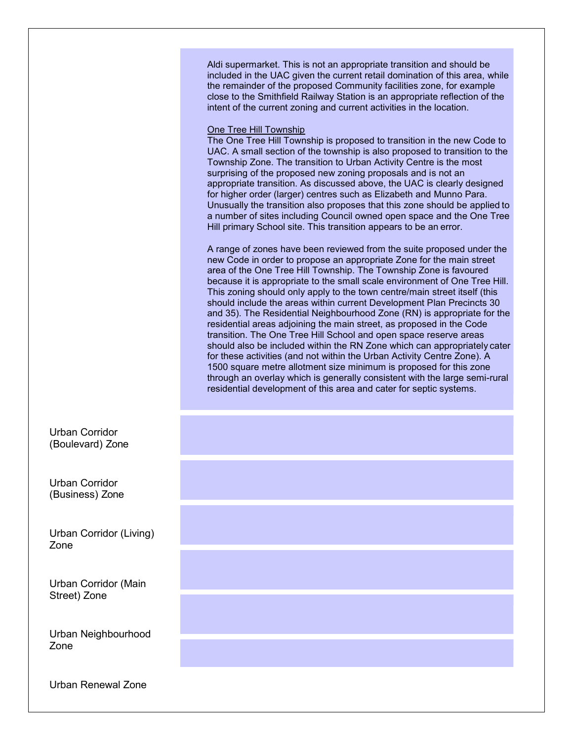Aldi supermarket. This is not an appropriate transition and should be included in the UAC given the current retail domination of this area, while the remainder of the proposed Community facilities zone, for example close to the Smithfield Railway Station is an appropriate reflection of the intent of the current zoning and current activities in the location.

#### One Tree Hill Township

The One Tree Hill Township is proposed to transition in the new Code to UAC. A small section of the township is also proposed to transition to the Township Zone. The transition to Urban Activity Centre is the most surprising of the proposed new zoning proposals and is not an appropriate transition. As discussed above, the UAC is clearly designed for higher order (larger) centres such as Elizabeth and Munno Para. Unusually the transition also proposes that this zone should be applied to a number of sites including Council owned open space and the One Tree Hill primary School site. This transition appears to be an error.

A range of zones have been reviewed from the suite proposed under the new Code in order to propose an appropriate Zone for the main street area of the One Tree Hill Township. The Township Zone is favoured because it is appropriate to the small scale environment of One Tree Hill. This zoning should only apply to the town centre/main street itself (this should include the areas within current Development Plan Precincts 30 and 35). The Residential Neighbourhood Zone (RN) is appropriate for the residential areas adjoining the main street, as proposed in the Code transition. The One Tree Hill School and open space reserve areas should also be included within the RN Zone which can appropriately cater for these activities (and not within the Urban Activity Centre Zone). A 1500 square metre allotment size minimum is proposed for this zone through an overlay which is generally consistent with the large semi-rural residential development of this area and cater for septic systems.

Urban Corridor (Boulevard) Zone

Urban Corridor (Business) Zone

Urban Corridor (Living) Zone

Urban Corridor (Main Street) Zone

Urban Neighbourhood Zone

Urban Renewal Zone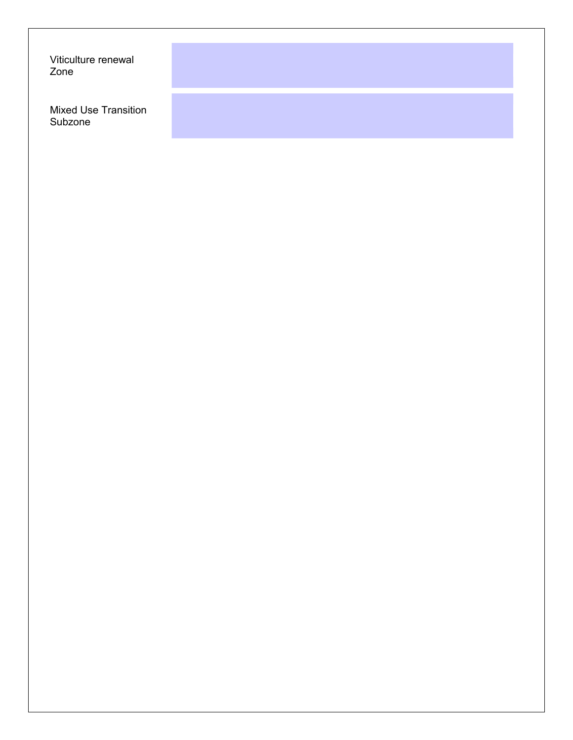Viticulture renewal Zone

Mixed Use Transition Subzone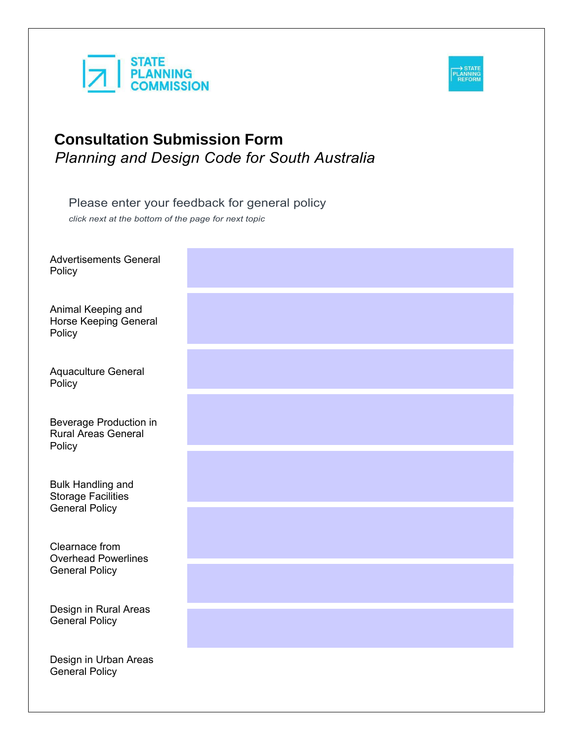



Please enter your feedback for general policy

*click next at the bottom of the page for next topic*

Advertise **Policy** 

**Animal Ke** Horse Ke Policy

Aquacultu **Policy** 

Beverage Rural Are **Policy** 

**Bulk Hand** Storage F General F

Clearnace Overhead **General F** 

Design in General F

Design in General F

| ments General                      |  |  |
|------------------------------------|--|--|
| eeping and<br>eping General        |  |  |
| ure General                        |  |  |
| <b>Production in</b><br>as General |  |  |
| dling and<br>Facilities<br>Policy  |  |  |
| e from<br>d Powerlines<br>Policy   |  |  |
| Rural Areas<br>Policy              |  |  |
| <b>Urban Areas</b><br>Policy       |  |  |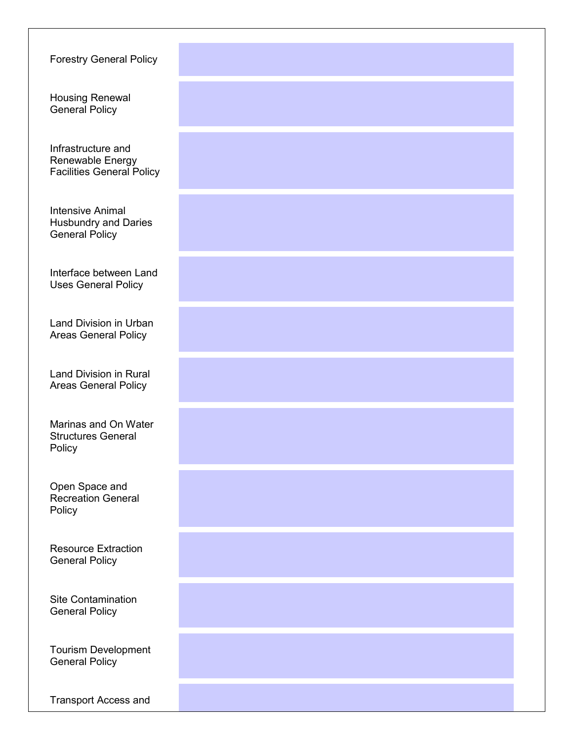Forestry General Policy

Housing Renewal General Policy

Infrastructure and Renewable Energy Facilities General Policy

Intensive Animal Husbundry and Daries General Policy

Interface between Land Uses General Policy

Land Division in Urban Areas General Policy

Land Division in Rural Areas General Policy

Marinas and On Water Structures General **Policy** 

Open Space and Recreation General Policy

Resource Extraction General Policy

Site Contamination General Policy

Tourism Development General Policy

Transport Access and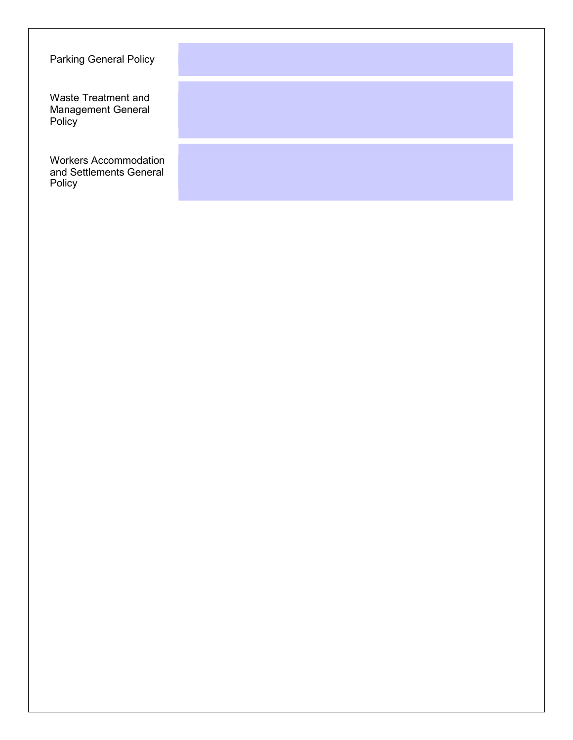Parking General Policy

Waste Treatment and Management General Policy

Workers Accommodation and Settlements General Policy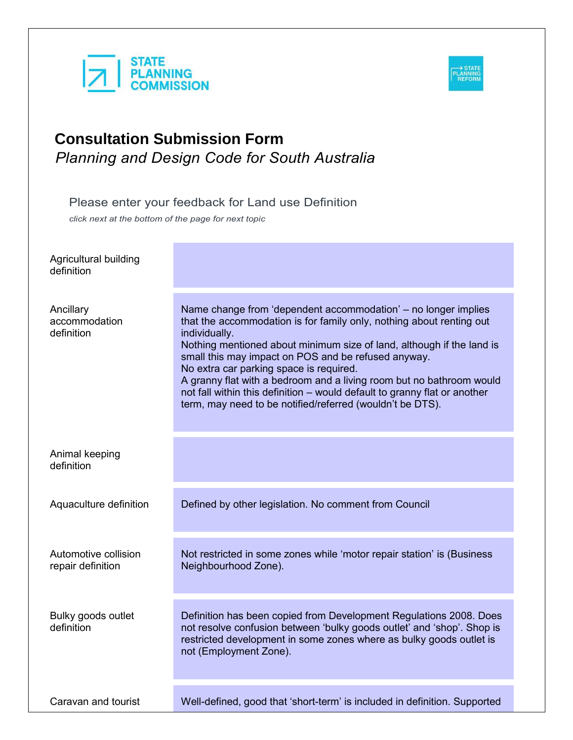



Please enter your feedback for Land use Definition *click next at the bottom of the page for next topic*

| Agricultural building<br>definition       |                                                                                                                                                                                                                                                                                                                                                                                                                                                                                                                                                      |
|-------------------------------------------|------------------------------------------------------------------------------------------------------------------------------------------------------------------------------------------------------------------------------------------------------------------------------------------------------------------------------------------------------------------------------------------------------------------------------------------------------------------------------------------------------------------------------------------------------|
| Ancillary<br>accommodation<br>definition  | Name change from 'dependent accommodation' – no longer implies<br>that the accommodation is for family only, nothing about renting out<br>individually.<br>Nothing mentioned about minimum size of land, although if the land is<br>small this may impact on POS and be refused anyway.<br>No extra car parking space is required.<br>A granny flat with a bedroom and a living room but no bathroom would<br>not fall within this definition - would default to granny flat or another<br>term, may need to be notified/referred (wouldn't be DTS). |
| Animal keeping<br>definition              |                                                                                                                                                                                                                                                                                                                                                                                                                                                                                                                                                      |
| Aquaculture definition                    | Defined by other legislation. No comment from Council                                                                                                                                                                                                                                                                                                                                                                                                                                                                                                |
| Automotive collision<br>repair definition | Not restricted in some zones while 'motor repair station' is (Business<br>Neighbourhood Zone).                                                                                                                                                                                                                                                                                                                                                                                                                                                       |
| Bulky goods outlet<br>definition          | Definition has been copied from Development Regulations 2008. Does<br>not resolve confusion between 'bulky goods outlet' and 'shop'. Shop is<br>restricted development in some zones where as bulky goods outlet is<br>not (Employment Zone).                                                                                                                                                                                                                                                                                                        |
| Caravan and tourist                       | Well-defined, good that 'short-term' is included in definition. Supported                                                                                                                                                                                                                                                                                                                                                                                                                                                                            |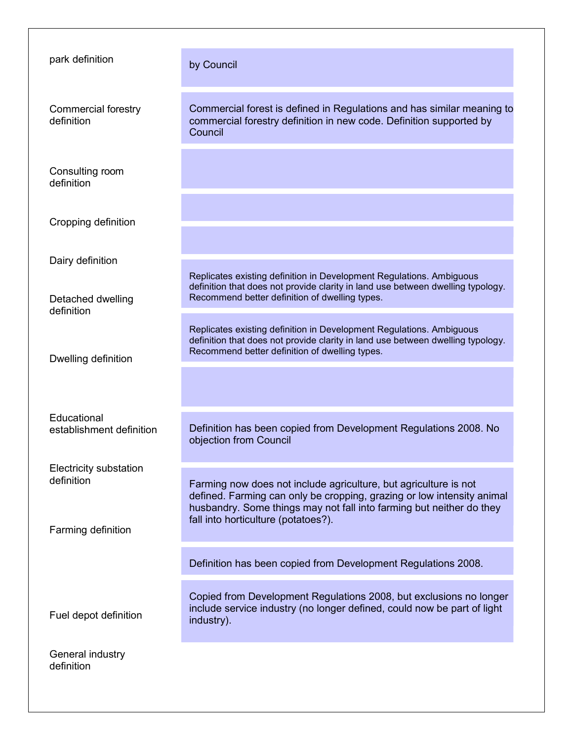| park definition                                                   | by Council                                                                                                                                                                                                                                                |
|-------------------------------------------------------------------|-----------------------------------------------------------------------------------------------------------------------------------------------------------------------------------------------------------------------------------------------------------|
| <b>Commercial forestry</b><br>definition                          | Commercial forest is defined in Regulations and has similar meaning to<br>commercial forestry definition in new code. Definition supported by<br>Council                                                                                                  |
| Consulting room<br>definition                                     |                                                                                                                                                                                                                                                           |
| Cropping definition                                               |                                                                                                                                                                                                                                                           |
| Dairy definition                                                  |                                                                                                                                                                                                                                                           |
| Detached dwelling<br>definition                                   | Replicates existing definition in Development Regulations. Ambiguous<br>definition that does not provide clarity in land use between dwelling typology.<br>Recommend better definition of dwelling types.                                                 |
| Dwelling definition                                               | Replicates existing definition in Development Regulations. Ambiguous<br>definition that does not provide clarity in land use between dwelling typology.<br>Recommend better definition of dwelling types.                                                 |
|                                                                   |                                                                                                                                                                                                                                                           |
| Educational<br>establishment definition                           | Definition has been copied from Development Regulations 2008. No<br>objection from Council                                                                                                                                                                |
| <b>Electricity substation</b><br>definition<br>Farming definition | Farming now does not include agriculture, but agriculture is not<br>defined. Farming can only be cropping, grazing or low intensity animal<br>husbandry. Some things may not fall into farming but neither do they<br>fall into horticulture (potatoes?). |
|                                                                   | Definition has been copied from Development Regulations 2008.                                                                                                                                                                                             |
| Fuel depot definition                                             | Copied from Development Regulations 2008, but exclusions no longer<br>include service industry (no longer defined, could now be part of light<br>industry).                                                                                               |
| General industry<br>definition                                    |                                                                                                                                                                                                                                                           |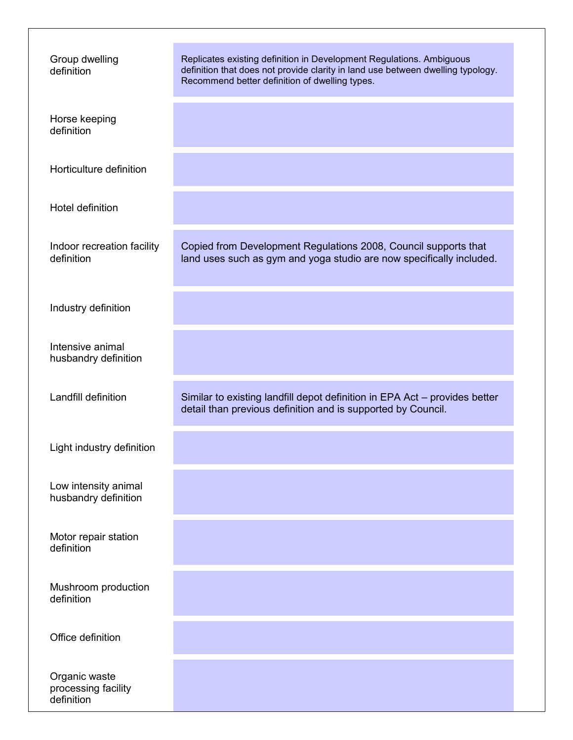| Group dwelling<br>definition                       | Replicates existing definition in Development Regulations. Ambiguous<br>definition that does not provide clarity in land use between dwelling typology.<br>Recommend better definition of dwelling types. |
|----------------------------------------------------|-----------------------------------------------------------------------------------------------------------------------------------------------------------------------------------------------------------|
| Horse keeping<br>definition                        |                                                                                                                                                                                                           |
| Horticulture definition                            |                                                                                                                                                                                                           |
| Hotel definition                                   |                                                                                                                                                                                                           |
| Indoor recreation facility<br>definition           | Copied from Development Regulations 2008, Council supports that<br>land uses such as gym and yoga studio are now specifically included.                                                                   |
| Industry definition                                |                                                                                                                                                                                                           |
| Intensive animal<br>husbandry definition           |                                                                                                                                                                                                           |
| Landfill definition                                | Similar to existing landfill depot definition in EPA Act - provides better<br>detail than previous definition and is supported by Council.                                                                |
| Light industry definition                          |                                                                                                                                                                                                           |
| Low intensity animal<br>husbandry definition       |                                                                                                                                                                                                           |
| Motor repair station<br>definition                 |                                                                                                                                                                                                           |
| Mushroom production<br>definition                  |                                                                                                                                                                                                           |
| Office definition                                  |                                                                                                                                                                                                           |
| Organic waste<br>processing facility<br>definition |                                                                                                                                                                                                           |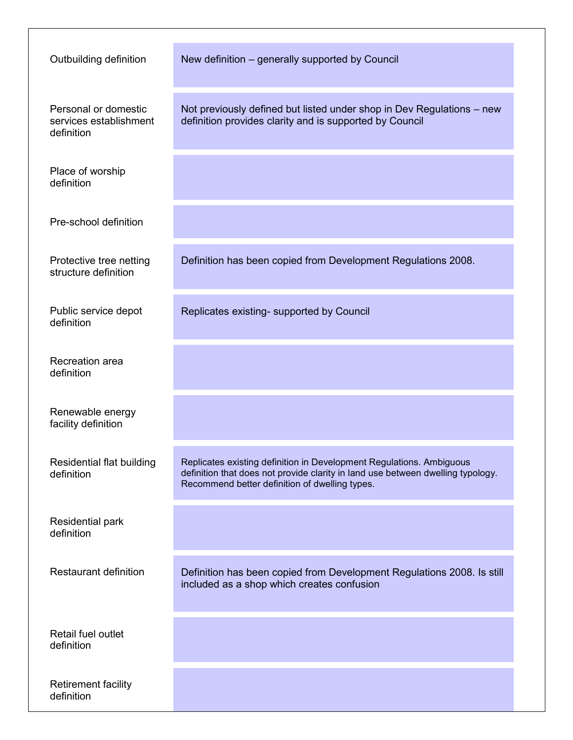| Outbuilding definition                                       | New definition – generally supported by Council                                                                                                                                                           |
|--------------------------------------------------------------|-----------------------------------------------------------------------------------------------------------------------------------------------------------------------------------------------------------|
| Personal or domestic<br>services establishment<br>definition | Not previously defined but listed under shop in Dev Regulations - new<br>definition provides clarity and is supported by Council                                                                          |
| Place of worship<br>definition                               |                                                                                                                                                                                                           |
| Pre-school definition                                        |                                                                                                                                                                                                           |
| Protective tree netting<br>structure definition              | Definition has been copied from Development Regulations 2008.                                                                                                                                             |
| Public service depot<br>definition                           | Replicates existing- supported by Council                                                                                                                                                                 |
| Recreation area<br>definition                                |                                                                                                                                                                                                           |
| Renewable energy<br>facility definition                      |                                                                                                                                                                                                           |
| Residential flat building<br>definition                      | Replicates existing definition in Development Regulations. Ambiguous<br>definition that does not provide clarity in land use between dwelling typology.<br>Recommend better definition of dwelling types. |
| <b>Residential park</b><br>definition                        |                                                                                                                                                                                                           |
| <b>Restaurant definition</b>                                 | Definition has been copied from Development Regulations 2008. Is still<br>included as a shop which creates confusion                                                                                      |
| Retail fuel outlet<br>definition                             |                                                                                                                                                                                                           |
| <b>Retirement facility</b><br>definition                     |                                                                                                                                                                                                           |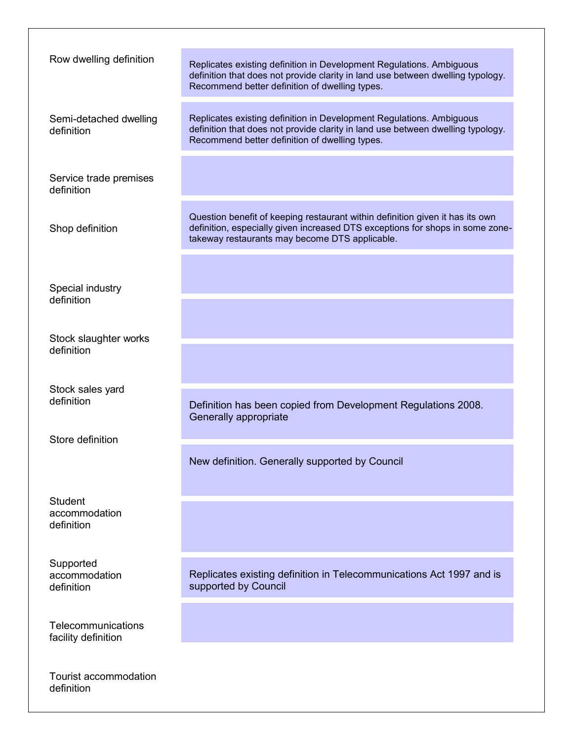| Row dwelling definition                       | Replicates existing definition in Development Regulations. Ambiguous<br>definition that does not provide clarity in land use between dwelling typology.<br>Recommend better definition of dwelling types.        |
|-----------------------------------------------|------------------------------------------------------------------------------------------------------------------------------------------------------------------------------------------------------------------|
| Semi-detached dwelling<br>definition          | Replicates existing definition in Development Regulations. Ambiguous<br>definition that does not provide clarity in land use between dwelling typology.<br>Recommend better definition of dwelling types.        |
| Service trade premises<br>definition          |                                                                                                                                                                                                                  |
| Shop definition                               | Question benefit of keeping restaurant within definition given it has its own<br>definition, especially given increased DTS exceptions for shops in some zone-<br>takeway restaurants may become DTS applicable. |
| Special industry<br>definition                |                                                                                                                                                                                                                  |
| Stock slaughter works                         |                                                                                                                                                                                                                  |
| definition                                    |                                                                                                                                                                                                                  |
| Stock sales yard<br>definition                | Definition has been copied from Development Regulations 2008.<br>Generally appropriate                                                                                                                           |
| Store definition                              | New definition. Generally supported by Council                                                                                                                                                                   |
| <b>Student</b><br>accommodation<br>definition |                                                                                                                                                                                                                  |
| Supported<br>accommodation<br>definition      | Replicates existing definition in Telecommunications Act 1997 and is<br>supported by Council                                                                                                                     |
| Telecommunications<br>facility definition     |                                                                                                                                                                                                                  |
| <b>Tourist accommodation</b><br>definition    |                                                                                                                                                                                                                  |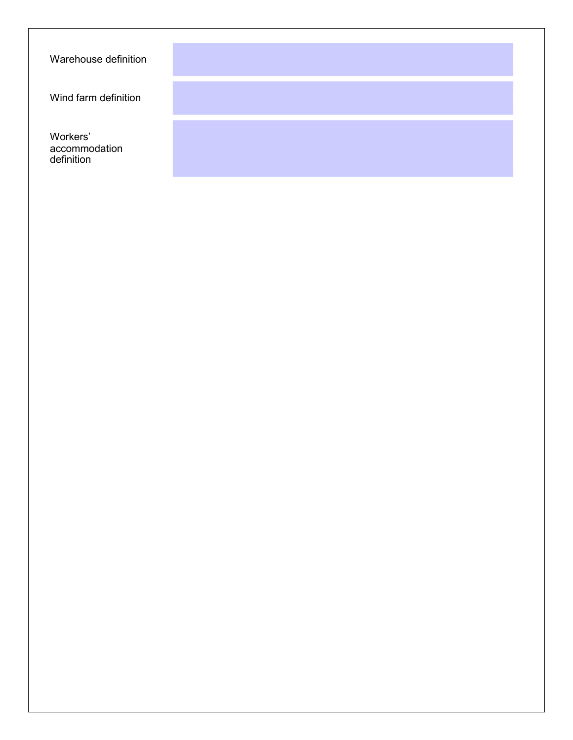Warehouse definition

Wind farm definition

Workers' accommodation definition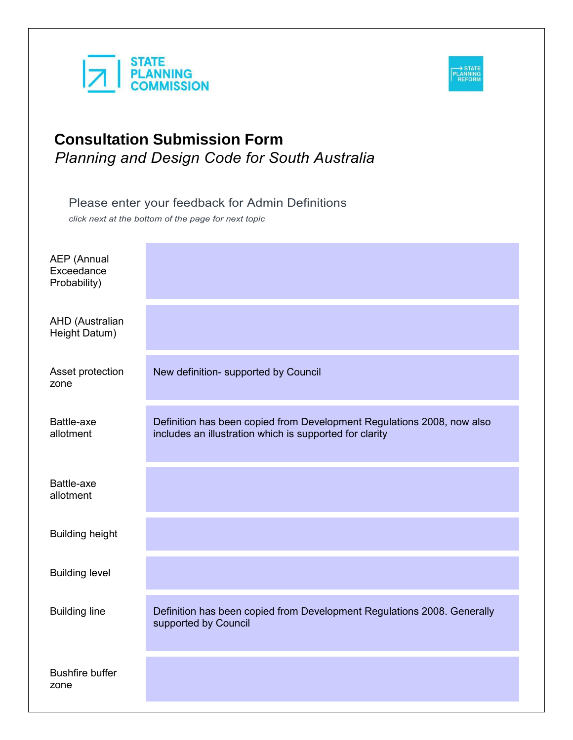



Please enter your feedback for Admin Definitions

*click next at the bottom of the page for next topic*

| <b>AEP</b> (Annual<br>Exceedance<br>Probability) |                                                                                                                                   |
|--------------------------------------------------|-----------------------------------------------------------------------------------------------------------------------------------|
| AHD (Australian<br>Height Datum)                 |                                                                                                                                   |
| Asset protection<br>zone                         | New definition- supported by Council                                                                                              |
| Battle-axe<br>allotment                          | Definition has been copied from Development Regulations 2008, now also<br>includes an illustration which is supported for clarity |
| Battle-axe<br>allotment                          |                                                                                                                                   |
| <b>Building height</b>                           |                                                                                                                                   |
| <b>Building level</b>                            |                                                                                                                                   |
| <b>Building line</b>                             | Definition has been copied from Development Regulations 2008. Generally<br>supported by Council                                   |
| <b>Bushfire buffer</b><br>zone                   |                                                                                                                                   |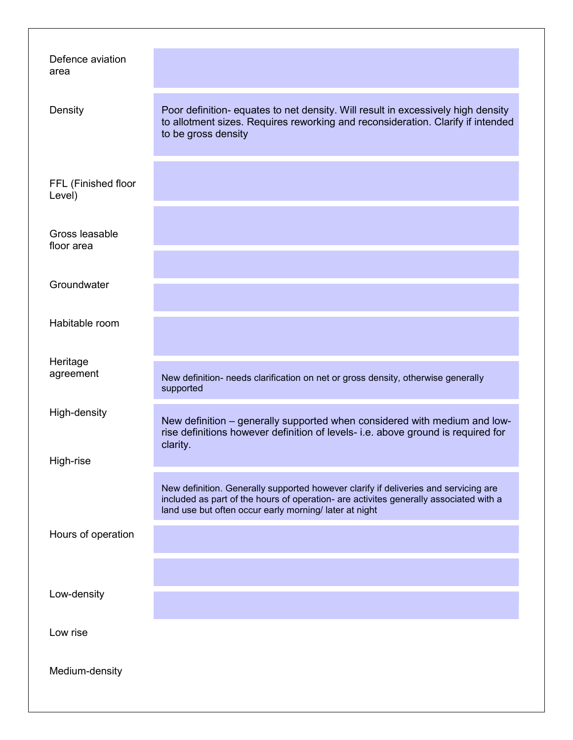| Defence aviation<br>area      |                                                                                                                                                                                                                                        |
|-------------------------------|----------------------------------------------------------------------------------------------------------------------------------------------------------------------------------------------------------------------------------------|
| Density                       | Poor definition- equates to net density. Will result in excessively high density<br>to allotment sizes. Requires reworking and reconsideration. Clarify if intended<br>to be gross density                                             |
| FFL (Finished floor<br>Level) |                                                                                                                                                                                                                                        |
| Gross leasable<br>floor area  |                                                                                                                                                                                                                                        |
| Groundwater                   |                                                                                                                                                                                                                                        |
| Habitable room                |                                                                                                                                                                                                                                        |
| Heritage<br>agreement         | New definition- needs clarification on net or gross density, otherwise generally<br>supported                                                                                                                                          |
| High-density                  | New definition – generally supported when considered with medium and low-<br>rise definitions however definition of levels- i.e. above ground is required for<br>clarity.                                                              |
| High-rise                     |                                                                                                                                                                                                                                        |
|                               | New definition. Generally supported however clarify if deliveries and servicing are<br>included as part of the hours of operation- are activites generally associated with a<br>land use but often occur early morning/ later at night |
| Hours of operation            |                                                                                                                                                                                                                                        |
|                               |                                                                                                                                                                                                                                        |
| Low-density                   |                                                                                                                                                                                                                                        |
| Low rise                      |                                                                                                                                                                                                                                        |
| Medium-density                |                                                                                                                                                                                                                                        |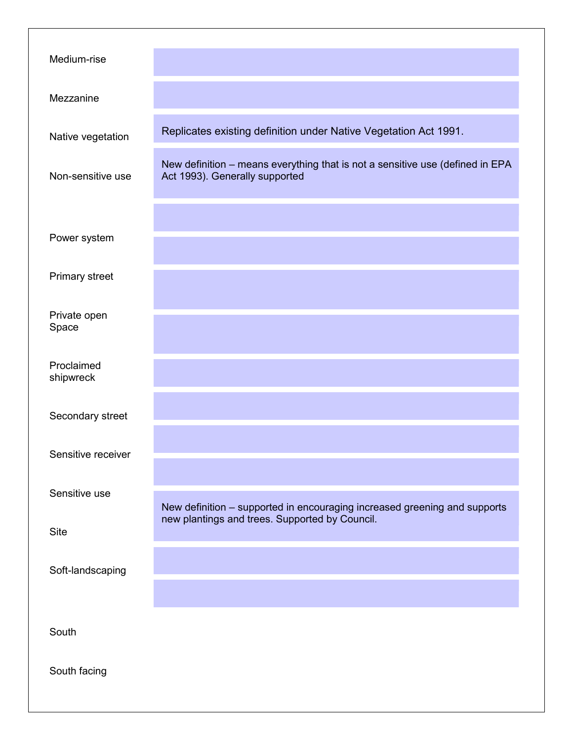| Medium-rise             |                                                                                                                 |
|-------------------------|-----------------------------------------------------------------------------------------------------------------|
| Mezzanine               |                                                                                                                 |
| Native vegetation       | Replicates existing definition under Native Vegetation Act 1991.                                                |
| Non-sensitive use       | New definition - means everything that is not a sensitive use (defined in EPA<br>Act 1993). Generally supported |
| Power system            |                                                                                                                 |
| Primary street          |                                                                                                                 |
| Private open<br>Space   |                                                                                                                 |
| Proclaimed<br>shipwreck |                                                                                                                 |
| Secondary street        |                                                                                                                 |
| Sensitive receiver      |                                                                                                                 |
| Sensitive use           | New definition - supported in encouraging increased greening and supports                                       |
| Site                    | new plantings and trees. Supported by Council.                                                                  |
| Soft-landscaping        |                                                                                                                 |
|                         |                                                                                                                 |
| South                   |                                                                                                                 |
| South facing            |                                                                                                                 |
|                         |                                                                                                                 |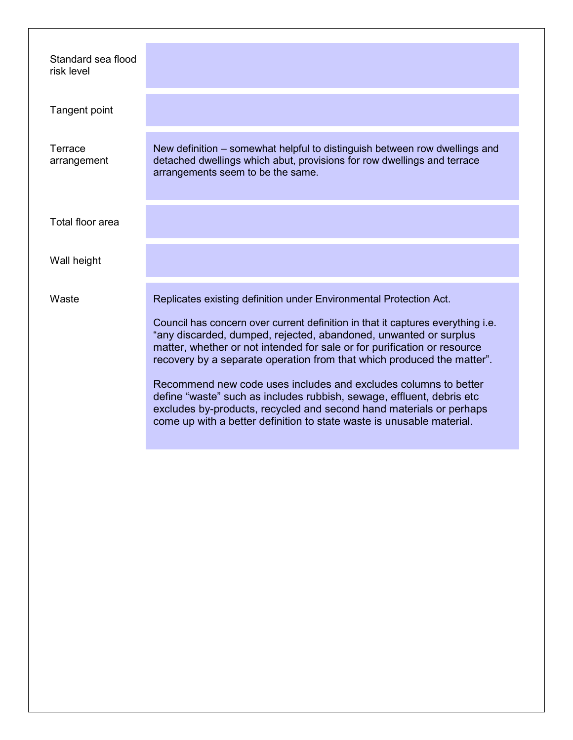| Standard sea flood<br>risk level |                                                                                                                                                                                                                                                                                                                                                                                                                                                                                                                                                                                                                                                                                    |
|----------------------------------|------------------------------------------------------------------------------------------------------------------------------------------------------------------------------------------------------------------------------------------------------------------------------------------------------------------------------------------------------------------------------------------------------------------------------------------------------------------------------------------------------------------------------------------------------------------------------------------------------------------------------------------------------------------------------------|
| Tangent point                    |                                                                                                                                                                                                                                                                                                                                                                                                                                                                                                                                                                                                                                                                                    |
| Terrace<br>arrangement           | New definition – somewhat helpful to distinguish between row dwellings and<br>detached dwellings which abut, provisions for row dwellings and terrace<br>arrangements seem to be the same.                                                                                                                                                                                                                                                                                                                                                                                                                                                                                         |
| Total floor area                 |                                                                                                                                                                                                                                                                                                                                                                                                                                                                                                                                                                                                                                                                                    |
| Wall height                      |                                                                                                                                                                                                                                                                                                                                                                                                                                                                                                                                                                                                                                                                                    |
| Waste                            | Replicates existing definition under Environmental Protection Act.<br>Council has concern over current definition in that it captures everything <i>i.e.</i><br>"any discarded, dumped, rejected, abandoned, unwanted or surplus<br>matter, whether or not intended for sale or for purification or resource<br>recovery by a separate operation from that which produced the matter".<br>Recommend new code uses includes and excludes columns to better<br>define "waste" such as includes rubbish, sewage, effluent, debris etc<br>excludes by-products, recycled and second hand materials or perhaps<br>come up with a better definition to state waste is unusable material. |
|                                  |                                                                                                                                                                                                                                                                                                                                                                                                                                                                                                                                                                                                                                                                                    |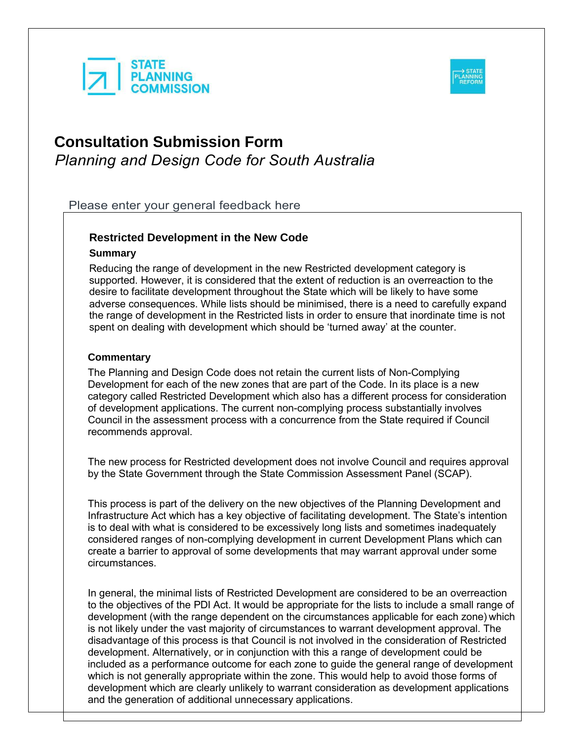



Please enter your general feedback here

# **Restricted Development in the New Code**

### **Summary**

Reducing the range of development in the new Restricted development category is supported. However, it is considered that the extent of reduction is an overreaction to the desire to facilitate development throughout the State which will be likely to have some adverse consequences. While lists should be minimised, there is a need to carefully expand the range of development in the Restricted lists in order to ensure that inordinate time is not spent on dealing with development which should be 'turned away' at the counter.

# **Commentary**

The Planning and Design Code does not retain the current lists of Non-Complying Development for each of the new zones that are part of the Code. In its place is a new category called Restricted Development which also has a different process for consideration of development applications. The current non-complying process substantially involves Council in the assessment process with a concurrence from the State required if Council recommends approval.

The new process for Restricted development does not involve Council and requires approval by the State Government through the State Commission Assessment Panel (SCAP).

This process is part of the delivery on the new objectives of the Planning Development and Infrastructure Act which has a key objective of facilitating development. The State's intention is to deal with what is considered to be excessively long lists and sometimes inadequately considered ranges of non-complying development in current Development Plans which can create a barrier to approval of some developments that may warrant approval under some circumstances.

In general, the minimal lists of Restricted Development are considered to be an overreaction to the objectives of the PDI Act. It would be appropriate for the lists to include a small range of development (with the range dependent on the circumstances applicable for each zone) which is not likely under the vast majority of circumstances to warrant development approval. The disadvantage of this process is that Council is not involved in the consideration of Restricted development. Alternatively, or in conjunction with this a range of development could be included as a performance outcome for each zone to guide the general range of development which is not generally appropriate within the zone. This would help to avoid those forms of development which are clearly unlikely to warrant consideration as development applications and the generation of additional unnecessary applications.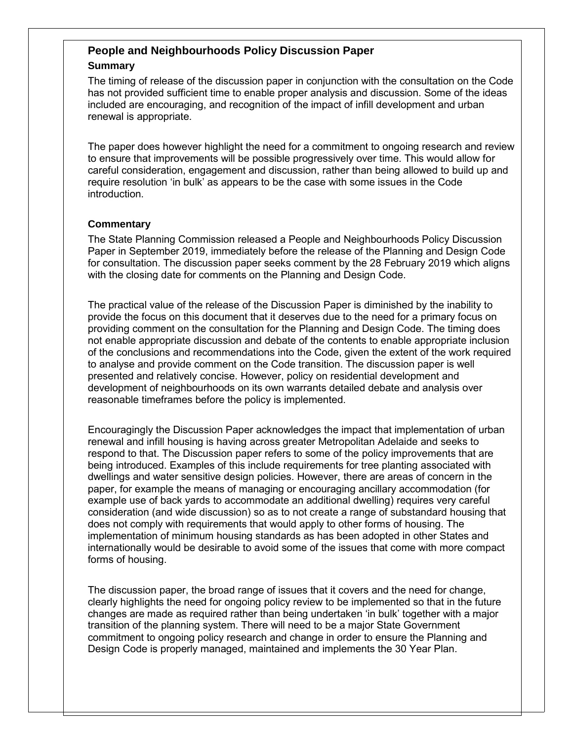# **People and Neighbourhoods Policy Discussion Paper**

# **Summary**

The timing of release of the discussion paper in conjunction with the consultation on the Code has not provided sufficient time to enable proper analysis and discussion. Some of the ideas included are encouraging, and recognition of the impact of infill development and urban renewal is appropriate.

The paper does however highlight the need for a commitment to ongoing research and review to ensure that improvements will be possible progressively over time. This would allow for careful consideration, engagement and discussion, rather than being allowed to build up and require resolution 'in bulk' as appears to be the case with some issues in the Code introduction.

# **Commentary**

The State Planning Commission released a People and Neighbourhoods Policy Discussion Paper in September 2019, immediately before the release of the Planning and Design Code for consultation. The discussion paper seeks comment by the 28 February 2019 which aligns with the closing date for comments on the Planning and Design Code.

The practical value of the release of the Discussion Paper is diminished by the inability to provide the focus on this document that it deserves due to the need for a primary focus on providing comment on the consultation for the Planning and Design Code. The timing does not enable appropriate discussion and debate of the contents to enable appropriate inclusion of the conclusions and recommendations into the Code, given the extent of the work required to analyse and provide comment on the Code transition. The discussion paper is well presented and relatively concise. However, policy on residential development and development of neighbourhoods on its own warrants detailed debate and analysis over reasonable timeframes before the policy is implemented.

Encouragingly the Discussion Paper acknowledges the impact that implementation of urban renewal and infill housing is having across greater Metropolitan Adelaide and seeks to respond to that. The Discussion paper refers to some of the policy improvements that are being introduced. Examples of this include requirements for tree planting associated with dwellings and water sensitive design policies. However, there are areas of concern in the paper, for example the means of managing or encouraging ancillary accommodation (for example use of back yards to accommodate an additional dwelling) requires very careful consideration (and wide discussion) so as to not create a range of substandard housing that does not comply with requirements that would apply to other forms of housing. The implementation of minimum housing standards as has been adopted in other States and internationally would be desirable to avoid some of the issues that come with more compact forms of housing.

The discussion paper, the broad range of issues that it covers and the need for change, clearly highlights the need for ongoing policy review to be implemented so that in the future changes are made as required rather than being undertaken 'in bulk' together with a major transition of the planning system. There will need to be a major State Government commitment to ongoing policy research and change in order to ensure the Planning and Design Code is properly managed, maintained and implements the 30 Year Plan.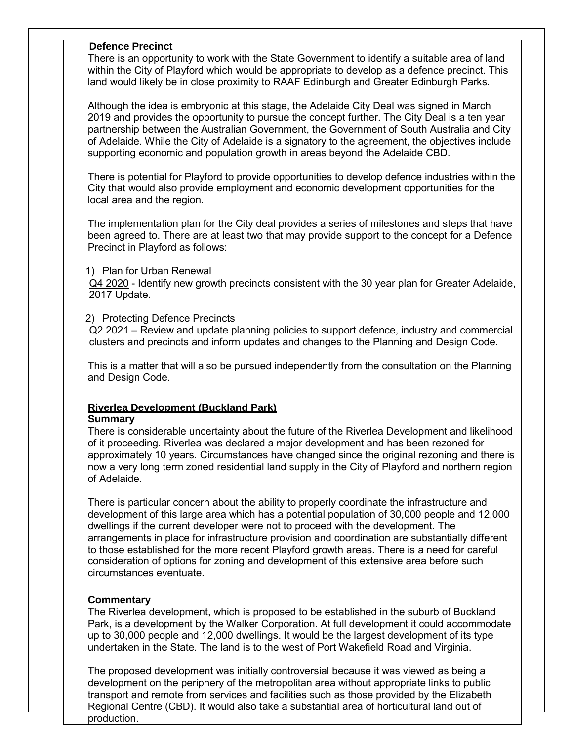### **Defence Precinct**

There is an opportunity to work with the State Government to identify a suitable area of land within the City of Playford which would be appropriate to develop as a defence precinct. This land would likely be in close proximity to RAAF Edinburgh and Greater Edinburgh Parks.

Although the idea is embryonic at this stage, the Adelaide City Deal was signed in March 2019 and provides the opportunity to pursue the concept further. The City Deal is a ten year partnership between the Australian Government, the Government of South Australia and City of Adelaide. While the City of Adelaide is a signatory to the agreement, the objectives include supporting economic and population growth in areas beyond the Adelaide CBD.

There is potential for Playford to provide opportunities to develop defence industries within the City that would also provide employment and economic development opportunities for the local area and the region.

The implementation plan for the City deal provides a series of milestones and steps that have been agreed to. There are at least two that may provide support to the concept for a Defence Precinct in Playford as follows:

### 1) Plan for Urban Renewal

Q4 2020 - Identify new growth precincts consistent with the 30 year plan for Greater Adelaide, 2017 Update.

# 2) Protecting Defence Precincts

Q2 2021 – Review and update planning policies to support defence, industry and commercial clusters and precincts and inform updates and changes to the Planning and Design Code.

This is a matter that will also be pursued independently from the consultation on the Planning and Design Code.

# **Riverlea Development (Buckland Park)**

### **Summary**

There is considerable uncertainty about the future of the Riverlea Development and likelihood of it proceeding. Riverlea was declared a major development and has been rezoned for approximately 10 years. Circumstances have changed since the original rezoning and there is now a very long term zoned residential land supply in the City of Playford and northern region of Adelaide.

There is particular concern about the ability to properly coordinate the infrastructure and development of this large area which has a potential population of 30,000 people and 12,000 dwellings if the current developer were not to proceed with the development. The arrangements in place for infrastructure provision and coordination are substantially different to those established for the more recent Playford growth areas. There is a need for careful consideration of options for zoning and development of this extensive area before such circumstances eventuate.

# **Commentary**

The Riverlea development, which is proposed to be established in the suburb of Buckland Park, is a development by the Walker Corporation. At full development it could accommodate up to 30,000 people and 12,000 dwellings. It would be the largest development of its type undertaken in the State. The land is to the west of Port Wakefield Road and Virginia.

The proposed development was initially controversial because it was viewed as being a development on the periphery of the metropolitan area without appropriate links to public transport and remote from services and facilities such as those provided by the Elizabeth Regional Centre (CBD). It would also take a substantial area of horticultural land out of production.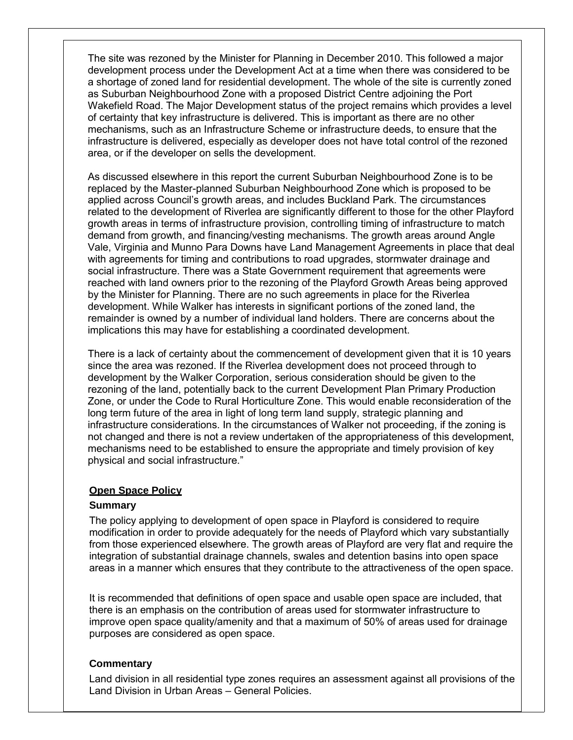The site was rezoned by the Minister for Planning in December 2010. This followed a major development process under the Development Act at a time when there was considered to be a shortage of zoned land for residential development. The whole of the site is currently zoned as Suburban Neighbourhood Zone with a proposed District Centre adjoining the Port Wakefield Road. The Major Development status of the project remains which provides a level of certainty that key infrastructure is delivered. This is important as there are no other mechanisms, such as an Infrastructure Scheme or infrastructure deeds, to ensure that the infrastructure is delivered, especially as developer does not have total control of the rezoned area, or if the developer on sells the development.

As discussed elsewhere in this report the current Suburban Neighbourhood Zone is to be replaced by the Master-planned Suburban Neighbourhood Zone which is proposed to be applied across Council's growth areas, and includes Buckland Park. The circumstances related to the development of Riverlea are significantly different to those for the other Playford growth areas in terms of infrastructure provision, controlling timing of infrastructure to match demand from growth, and financing/vesting mechanisms. The growth areas around Angle Vale, Virginia and Munno Para Downs have Land Management Agreements in place that deal with agreements for timing and contributions to road upgrades, stormwater drainage and social infrastructure. There was a State Government requirement that agreements were reached with land owners prior to the rezoning of the Playford Growth Areas being approved by the Minister for Planning. There are no such agreements in place for the Riverlea development. While Walker has interests in significant portions of the zoned land, the remainder is owned by a number of individual land holders. There are concerns about the implications this may have for establishing a coordinated development.

There is a lack of certainty about the commencement of development given that it is 10 years since the area was rezoned. If the Riverlea development does not proceed through to development by the Walker Corporation, serious consideration should be given to the rezoning of the land, potentially back to the current Development Plan Primary Production Zone, or under the Code to Rural Horticulture Zone. This would enable reconsideration of the long term future of the area in light of long term land supply, strategic planning and infrastructure considerations. In the circumstances of Walker not proceeding, if the zoning is not changed and there is not a review undertaken of the appropriateness of this development, mechanisms need to be established to ensure the appropriate and timely provision of key physical and social infrastructure."

### **Open Space Policy**

# **Summary**

The policy applying to development of open space in Playford is considered to require modification in order to provide adequately for the needs of Playford which vary substantially from those experienced elsewhere. The growth areas of Playford are very flat and require the integration of substantial drainage channels, swales and detention basins into open space areas in a manner which ensures that they contribute to the attractiveness of the open space.

It is recommended that definitions of open space and usable open space are included, that there is an emphasis on the contribution of areas used for stormwater infrastructure to improve open space quality/amenity and that a maximum of 50% of areas used for drainage purposes are considered as open space.

# **Commentary**

Land division in all residential type zones requires an assessment against all provisions of the Land Division in Urban Areas – General Policies.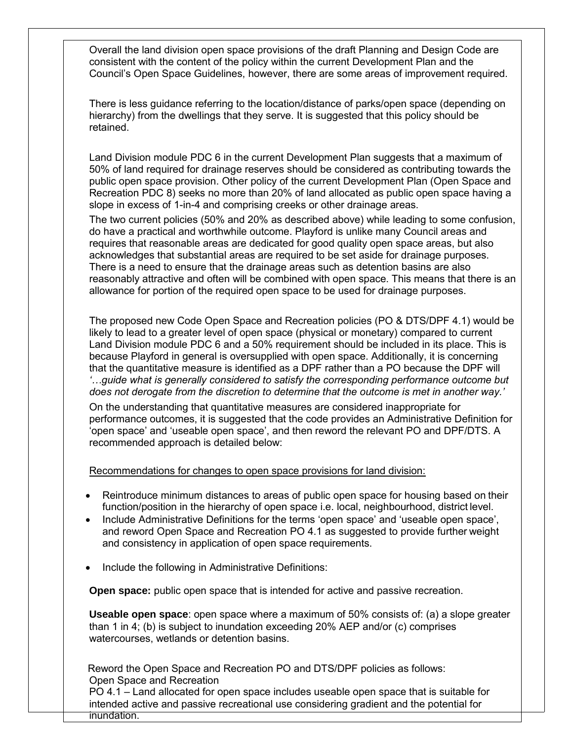Overall the land division open space provisions of the draft Planning and Design Code are consistent with the content of the policy within the current Development Plan and the Council's Open Space Guidelines, however, there are some areas of improvement required.

There is less guidance referring to the location/distance of parks/open space (depending on hierarchy) from the dwellings that they serve. It is suggested that this policy should be retained.

Land Division module PDC 6 in the current Development Plan suggests that a maximum of 50% of land required for drainage reserves should be considered as contributing towards the public open space provision. Other policy of the current Development Plan (Open Space and Recreation PDC 8) seeks no more than 20% of land allocated as public open space having a slope in excess of 1-in-4 and comprising creeks or other drainage areas.

The two current policies (50% and 20% as described above) while leading to some confusion, do have a practical and worthwhile outcome. Playford is unlike many Council areas and requires that reasonable areas are dedicated for good quality open space areas, but also acknowledges that substantial areas are required to be set aside for drainage purposes. There is a need to ensure that the drainage areas such as detention basins are also reasonably attractive and often will be combined with open space. This means that there is an allowance for portion of the required open space to be used for drainage purposes.

The proposed new Code Open Space and Recreation policies (PO & DTS/DPF 4.1) would be likely to lead to a greater level of open space (physical or monetary) compared to current Land Division module PDC 6 and a 50% requirement should be included in its place. This is because Playford in general is oversupplied with open space. Additionally, it is concerning that the quantitative measure is identified as a DPF rather than a PO because the DPF will *'…guide what is generally considered to satisfy the corresponding performance outcome but does not derogate from the discretion to determine that the outcome is met in another way.'*

On the understanding that quantitative measures are considered inappropriate for performance outcomes, it is suggested that the code provides an Administrative Definition for 'open space' and 'useable open space', and then reword the relevant PO and DPF/DTS. A recommended approach is detailed below:

Recommendations for changes to open space provisions for land division:

- Reintroduce minimum distances to areas of public open space for housing based on their function/position in the hierarchy of open space i.e. local, neighbourhood, district level.
- Include Administrative Definitions for the terms 'open space' and 'useable open space', and reword Open Space and Recreation PO 4.1 as suggested to provide further weight and consistency in application of open space requirements.
- Include the following in Administrative Definitions:

**Open space:** public open space that is intended for active and passive recreation.

**Useable open space**: open space where a maximum of 50% consists of: (a) a slope greater than 1 in 4; (b) is subject to inundation exceeding 20% AEP and/or (c) comprises watercourses, wetlands or detention basins.

Reword the Open Space and Recreation PO and DTS/DPF policies as follows: Open Space and Recreation

PO 4.1 – Land allocated for open space includes useable open space that is suitable for intended active and passive recreational use considering gradient and the potential for inundation.